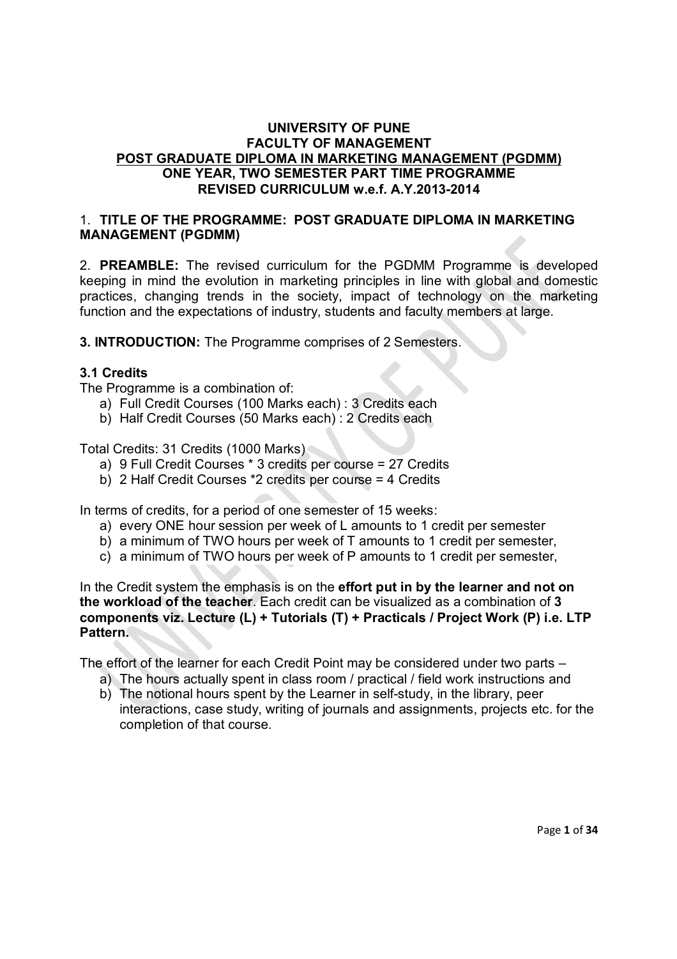### **UNIVERSITY OF PUNE FACULTY OF MANAGEMENT POST GRADUATE DIPLOMA IN MARKETING MANAGEMENT (PGDMM) ONE YEAR, TWO SEMESTER PART TIME PROGRAMME REVISED CURRICULUM w.e.f. A.Y.2013-2014**

### 1. **TITLE OF THE PROGRAMME: POST GRADUATE DIPLOMA IN MARKETING MANAGEMENT (PGDMM)**

2. **PREAMBLE:** The revised curriculum for the PGDMM Programme is developed keeping in mind the evolution in marketing principles in line with global and domestic practices, changing trends in the society, impact of technology on the marketing function and the expectations of industry, students and faculty members at large.

**3. INTRODUCTION:** The Programme comprises of 2 Semesters.

### **3.1 Credits**

The Programme is a combination of:

- a) Full Credit Courses (100 Marks each) : 3 Credits each
- b) Half Credit Courses (50 Marks each) : 2 Credits each

Total Credits: 31 Credits (1000 Marks)

- a) 9 Full Credit Courses \* 3 credits per course = 27 Credits
- b) 2 Half Credit Courses \*2 credits per course = 4 Credits

In terms of credits, for a period of one semester of 15 weeks:

- a) every ONE hour session per week of L amounts to 1 credit per semester
- b) a minimum of TWO hours per week of T amounts to 1 credit per semester,
- c) a minimum of TWO hours per week of P amounts to 1 credit per semester,

In the Credit system the emphasis is on the **effort put in by the learner and not on the workload of the teacher**. Each credit can be visualized as a combination of **3 components viz. Lecture (L) + Tutorials (T) + Practicals / Project Work (P) i.e. LTP Pattern.** 

The effort of the learner for each Credit Point may be considered under two parts –

- a) The hours actually spent in class room / practical / field work instructions and
- b) The notional hours spent by the Learner in self-study, in the library, peer interactions, case study, writing of journals and assignments, projects etc. for the completion of that course.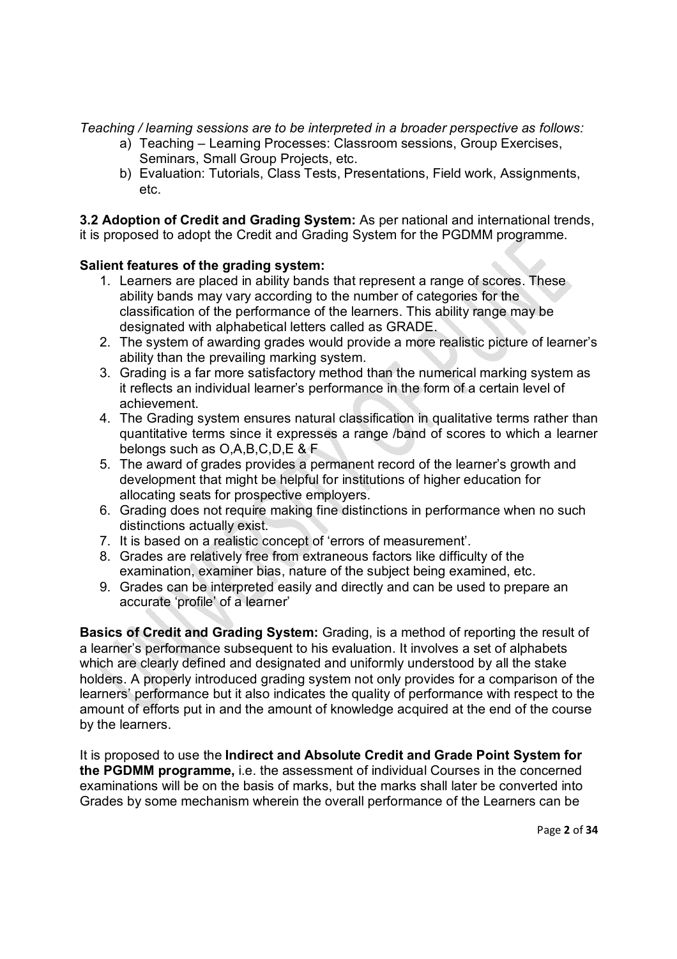*Teaching / learning sessions are to be interpreted in a broader perspective as follows:* 

- a) Teaching Learning Processes: Classroom sessions, Group Exercises, Seminars, Small Group Projects, etc.
- b) Evaluation: Tutorials, Class Tests, Presentations, Field work, Assignments, etc.

**3.2 Adoption of Credit and Grading System:** As per national and international trends, it is proposed to adopt the Credit and Grading System for the PGDMM programme.

### **Salient features of the grading system:**

- 1. Learners are placed in ability bands that represent a range of scores. These ability bands may vary according to the number of categories for the classification of the performance of the learners. This ability range may be designated with alphabetical letters called as GRADE.
- 2. The system of awarding grades would provide a more realistic picture of learner's ability than the prevailing marking system.
- 3. Grading is a far more satisfactory method than the numerical marking system as it reflects an individual learner's performance in the form of a certain level of achievement.
- 4. The Grading system ensures natural classification in qualitative terms rather than quantitative terms since it expresses a range /band of scores to which a learner belongs such as O,A,B,C,D,E & F
- 5. The award of grades provides a permanent record of the learner's growth and development that might be helpful for institutions of higher education for allocating seats for prospective employers.
- 6. Grading does not require making fine distinctions in performance when no such distinctions actually exist.
- 7. It is based on a realistic concept of 'errors of measurement'.
- 8. Grades are relatively free from extraneous factors like difficulty of the examination, examiner bias, nature of the subject being examined, etc.
- 9. Grades can be interpreted easily and directly and can be used to prepare an accurate 'profile' of a learner'

**Basics of Credit and Grading System:** Grading, is a method of reporting the result of a learner's performance subsequent to his evaluation. It involves a set of alphabets which are clearly defined and designated and uniformly understood by all the stake holders. A properly introduced grading system not only provides for a comparison of the learners' performance but it also indicates the quality of performance with respect to the amount of efforts put in and the amount of knowledge acquired at the end of the course by the learners.

It is proposed to use the **Indirect and Absolute Credit and Grade Point System for the PGDMM programme,** i.e. the assessment of individual Courses in the concerned examinations will be on the basis of marks, but the marks shall later be converted into Grades by some mechanism wherein the overall performance of the Learners can be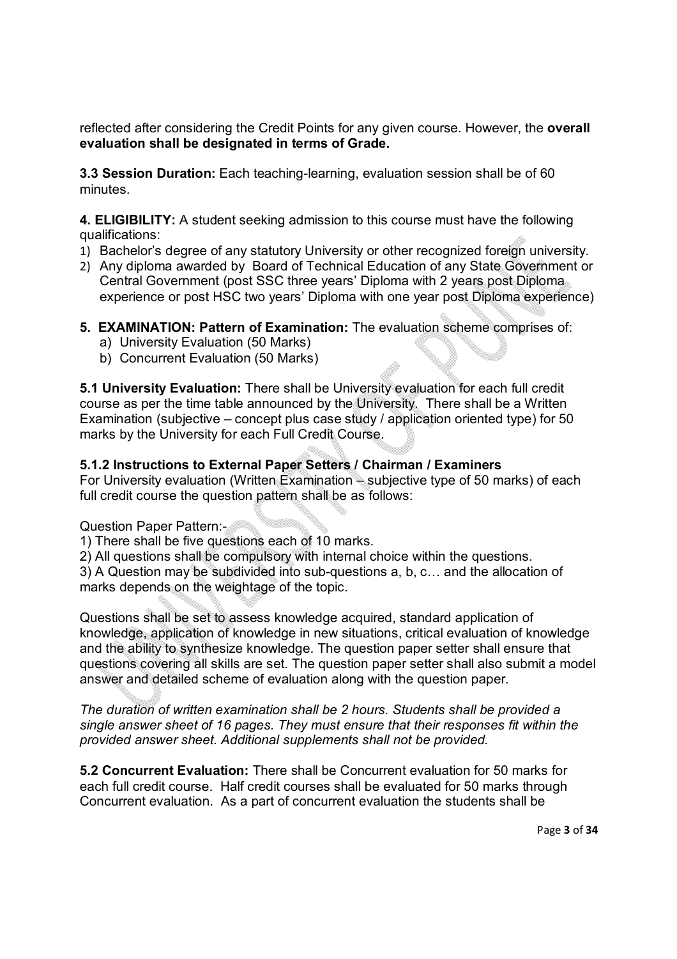reflected after considering the Credit Points for any given course. However, the **overall evaluation shall be designated in terms of Grade.**

**3.3 Session Duration:** Each teaching-learning, evaluation session shall be of 60 minutes.

**4. ELIGIBILITY:** A student seeking admission to this course must have the following qualifications:

- 1) Bachelor's degree of any statutory University or other recognized foreign university.
- 2) Any diploma awarded by Board of Technical Education of any State Government or Central Government (post SSC three years' Diploma with 2 years post Diploma experience or post HSC two years' Diploma with one year post Diploma experience)
- **5. EXAMINATION: Pattern of Examination:** The evaluation scheme comprises of:
	- a) University Evaluation (50 Marks)
	- b) Concurrent Evaluation (50 Marks)

**5.1 University Evaluation:** There shall be University evaluation for each full credit course as per the time table announced by the University. There shall be a Written Examination (subjective – concept plus case study / application oriented type) for 50 marks by the University for each Full Credit Course.

#### **5.1.2 Instructions to External Paper Setters / Chairman / Examiners**

For University evaluation (Written Examination – subjective type of 50 marks) of each full credit course the question pattern shall be as follows:

Question Paper Pattern:-

1) There shall be five questions each of 10 marks.

2) All questions shall be compulsory with internal choice within the questions.

3) A Question may be subdivided into sub-questions a, b, c… and the allocation of marks depends on the weightage of the topic.

Questions shall be set to assess knowledge acquired, standard application of knowledge, application of knowledge in new situations, critical evaluation of knowledge and the ability to synthesize knowledge. The question paper setter shall ensure that questions covering all skills are set. The question paper setter shall also submit a model answer and detailed scheme of evaluation along with the question paper.

*The duration of written examination shall be 2 hours. Students shall be provided a single answer sheet of 16 pages. They must ensure that their responses fit within the provided answer sheet. Additional supplements shall not be provided.*

**5.2 Concurrent Evaluation:** There shall be Concurrent evaluation for 50 marks for each full credit course. Half credit courses shall be evaluated for 50 marks through Concurrent evaluation. As a part of concurrent evaluation the students shall be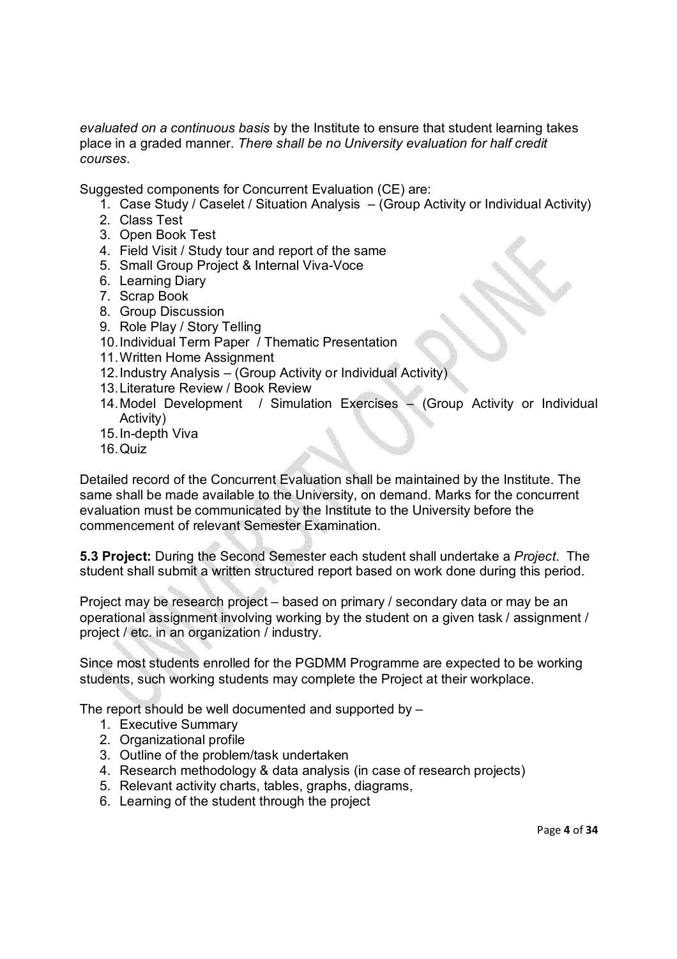*evaluated on a continuous basis* by the Institute to ensure that student learning takes place in a graded manner. *There shall be no University evaluation for half credit courses*.

Suggested components for Concurrent Evaluation (CE) are:

- 1. Case Study / Caselet / Situation Analysis (Group Activity or Individual Activity)
- 2. Class Test
- 3. Open Book Test
- 4. Field Visit / Study tour and report of the same
- 5. Small Group Project & Internal Viva-Voce
- 6. Learning Diary
- 7. Scrap Book
- 8. Group Discussion
- 9. Role Play / Story Telling
- 10.Individual Term Paper / Thematic Presentation
- 11.Written Home Assignment
- 12.Industry Analysis (Group Activity or Individual Activity)
- 13.Literature Review / Book Review
- 14.Model Development / Simulation Exercises (Group Activity or Individual Activity)
- 15.In-depth Viva
- 16.Quiz

Detailed record of the Concurrent Evaluation shall be maintained by the Institute. The same shall be made available to the University, on demand. Marks for the concurrent evaluation must be communicated by the Institute to the University before the commencement of relevant Semester Examination.

**5.3 Project:** During the Second Semester each student shall undertake a *Project*. The student shall submit a written structured report based on work done during this period.

Project may be research project – based on primary / secondary data or may be an operational assignment involving working by the student on a given task / assignment / project / etc. in an organization / industry.

Since most students enrolled for the PGDMM Programme are expected to be working students, such working students may complete the Project at their workplace.

The report should be well documented and supported by –

- 1. Executive Summary
- 2. Organizational profile
- 3. Outline of the problem/task undertaken
- 4. Research methodology & data analysis (in case of research projects)
- 5. Relevant activity charts, tables, graphs, diagrams,
- 6. Learning of the student through the project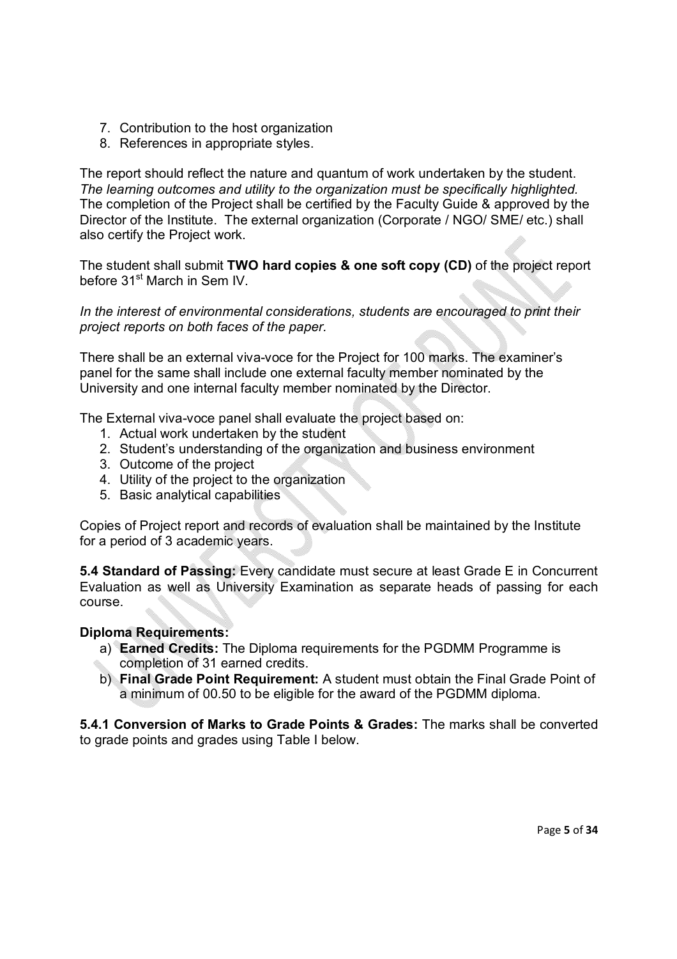- 7. Contribution to the host organization
- 8. References in appropriate styles.

The report should reflect the nature and quantum of work undertaken by the student. *The learning outcomes and utility to the organization must be specifically highlighted.* The completion of the Project shall be certified by the Faculty Guide & approved by the Director of the Institute. The external organization (Corporate / NGO/ SME/ etc.) shall also certify the Project work.

The student shall submit **TWO hard copies & one soft copy (CD)** of the project report before 31<sup>st</sup> March in Sem IV.

*In the interest of environmental considerations, students are encouraged to print their project reports on both faces of the paper.*

There shall be an external viva-voce for the Project for 100 marks. The examiner's panel for the same shall include one external faculty member nominated by the University and one internal faculty member nominated by the Director.

The External viva-voce panel shall evaluate the project based on:

- 1. Actual work undertaken by the student
- 2. Student's understanding of the organization and business environment
- 3. Outcome of the project
- 4. Utility of the project to the organization
- 5. Basic analytical capabilities

Copies of Project report and records of evaluation shall be maintained by the Institute for a period of 3 academic years.

**5.4 Standard of Passing:** Every candidate must secure at least Grade E in Concurrent Evaluation as well as University Examination as separate heads of passing for each course.

### **Diploma Requirements:**

- a) **Earned Credits:** The Diploma requirements for the PGDMM Programme is completion of 31 earned credits.
- b) **Final Grade Point Requirement:** A student must obtain the Final Grade Point of a minimum of 00.50 to be eligible for the award of the PGDMM diploma.

**5.4.1 Conversion of Marks to Grade Points & Grades:** The marks shall be converted to grade points and grades using Table I below.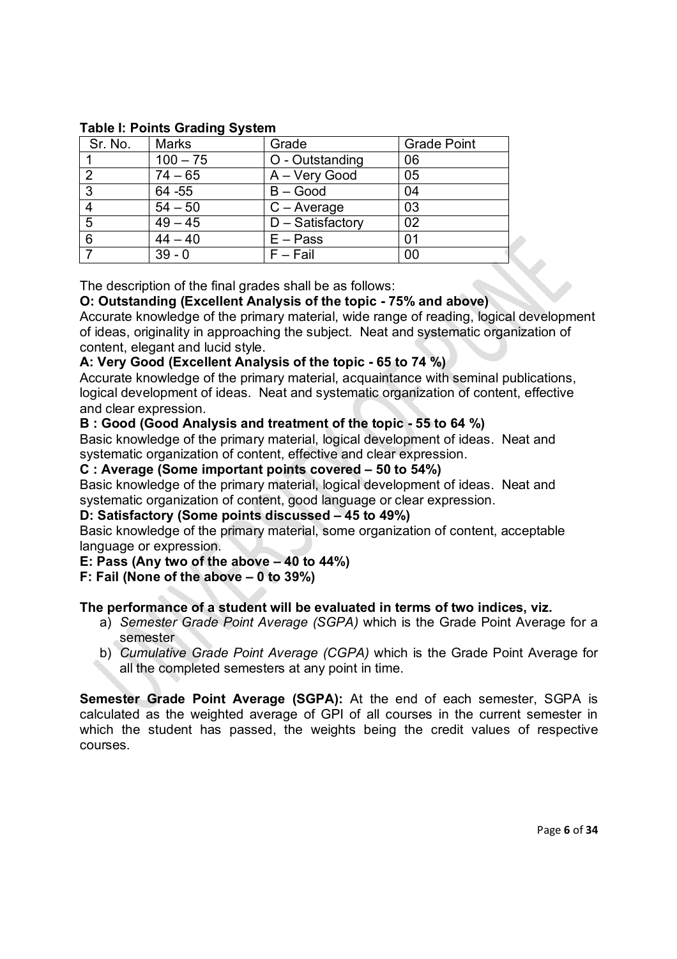| Sr. No.         | <b>Marks</b>      | Grade               | <b>Grade Point</b> |
|-----------------|-------------------|---------------------|--------------------|
|                 | $100 - 75$        | O - Outstanding     | 06                 |
|                 | $74 - 65$         | A - Very Good       | 05                 |
| 3               | 64 - 55           | $B - Good$          | 04                 |
|                 | $54 - 50$         | $C - Average$       | 03                 |
| $5\phantom{.0}$ | $\frac{49-45}{x}$ | $D - S$ atisfactory | 02                 |
| 6               | $44 - 40$         | $E - Pass$          | 01                 |
|                 | $39 - 0$          | $F - Fail$          | 00                 |

### **Table I: Points Grading System**

The description of the final grades shall be as follows:

### **O: Outstanding (Excellent Analysis of the topic - 75% and above)**

Accurate knowledge of the primary material, wide range of reading, logical development of ideas, originality in approaching the subject. Neat and systematic organization of content, elegant and lucid style.

### **A: Very Good (Excellent Analysis of the topic - 65 to 74 %)**

Accurate knowledge of the primary material, acquaintance with seminal publications, logical development of ideas. Neat and systematic organization of content, effective and clear expression.

### **B : Good (Good Analysis and treatment of the topic - 55 to 64 %)**

Basic knowledge of the primary material, logical development of ideas. Neat and systematic organization of content, effective and clear expression.

#### **C : Average (Some important points covered – 50 to 54%)**

Basic knowledge of the primary material, logical development of ideas. Neat and systematic organization of content, good language or clear expression.

#### **D: Satisfactory (Some points discussed – 45 to 49%)**

Basic knowledge of the primary material, some organization of content, acceptable language or expression.

#### **E: Pass (Any two of the above – 40 to 44%)**

#### **F: Fail (None of the above – 0 to 39%)**

### **The performance of a student will be evaluated in terms of two indices, viz.**

- a) *Semester Grade Point Average (SGPA)* which is the Grade Point Average for a semester
- b) *Cumulative Grade Point Average (CGPA)* which is the Grade Point Average for all the completed semesters at any point in time.

**Semester Grade Point Average (SGPA):** At the end of each semester, SGPA is calculated as the weighted average of GPI of all courses in the current semester in which the student has passed, the weights being the credit values of respective courses.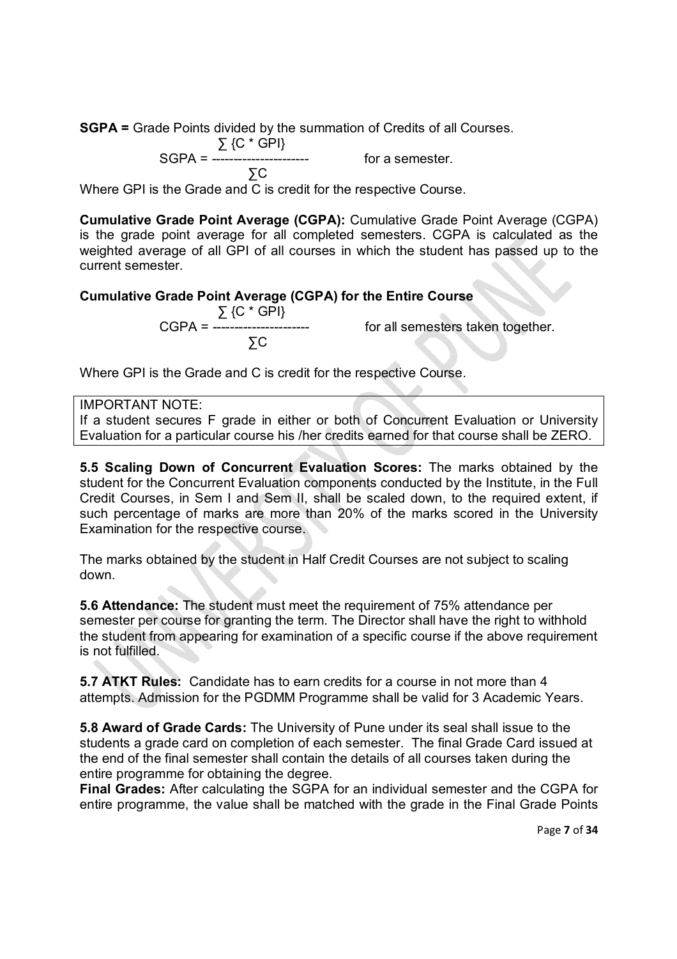**SGPA =** Grade Points divided by the summation of Credits of all Courses.

$$
\Sigma \, \{C^* \, GPI\}
$$

SGPA = ---------------------- for a semester.

$$
\sum_{i=1}^{n} C_i
$$

Where GPI is the Grade and C is credit for the respective Course.

**Cumulative Grade Point Average (CGPA):** Cumulative Grade Point Average (CGPA) is the grade point average for all completed semesters. CGPA is calculated as the weighted average of all GPI of all courses in which the student has passed up to the current semester.

### **Cumulative Grade Point Average (CGPA) for the Entire Course**

 ∑ {C \* GPI} ∑C

for all semesters taken together.

Where GPI is the Grade and C is credit for the respective Course.

### IMPORTANT NOTE:

If a student secures F grade in either or both of Concurrent Evaluation or University Evaluation for a particular course his /her credits earned for that course shall be ZERO.

**5.5 Scaling Down of Concurrent Evaluation Scores:** The marks obtained by the student for the Concurrent Evaluation components conducted by the Institute, in the Full Credit Courses, in Sem I and Sem II, shall be scaled down, to the required extent, if such percentage of marks are more than 20% of the marks scored in the University Examination for the respective course.

The marks obtained by the student in Half Credit Courses are not subject to scaling down.

**5.6 Attendance:** The student must meet the requirement of 75% attendance per semester per course for granting the term. The Director shall have the right to withhold the student from appearing for examination of a specific course if the above requirement is not fulfilled.

**5.7 ATKT Rules:** Candidate has to earn credits for a course in not more than 4 attempts. Admission for the PGDMM Programme shall be valid for 3 Academic Years.

**5.8 Award of Grade Cards:** The University of Pune under its seal shall issue to the students a grade card on completion of each semester. The final Grade Card issued at the end of the final semester shall contain the details of all courses taken during the entire programme for obtaining the degree.

**Final Grades:** After calculating the SGPA for an individual semester and the CGPA for entire programme, the value shall be matched with the grade in the Final Grade Points

Page **7** of **34**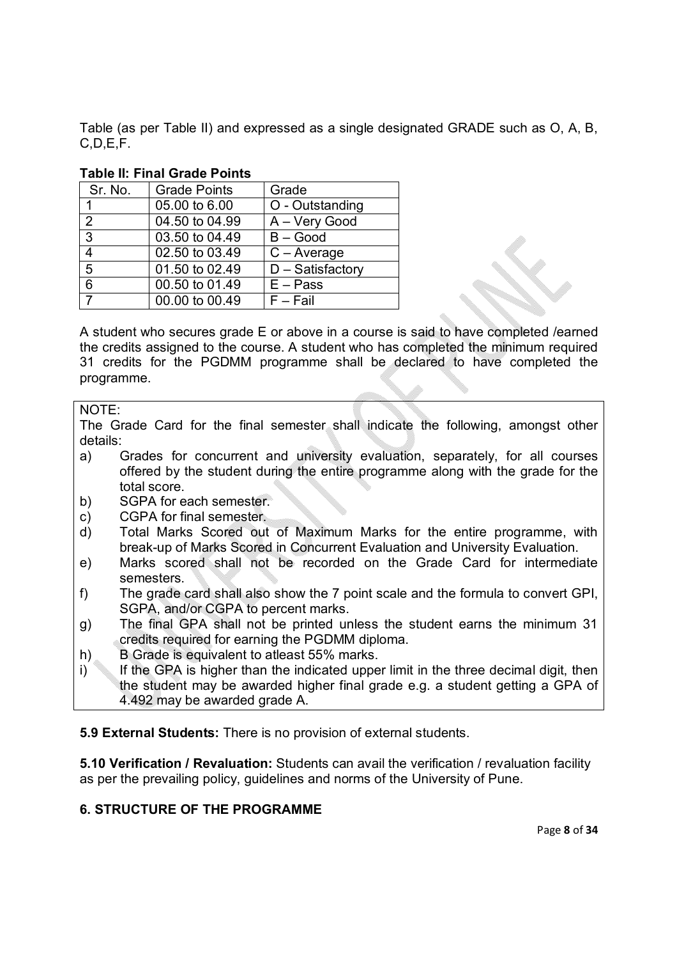Table (as per Table II) and expressed as a single designated GRADE such as O, A, B, C,D,E,F.

| Sr. No.        | <b>Grade Points</b> | Grade               |
|----------------|---------------------|---------------------|
| 1              | 05.00 to 6.00       | O - Outstanding     |
| 2              | 04.50 to 04.99      | A - Very Good       |
| $\mathbf{3}$   | 03.50 to 04.49      | $B - Good$          |
| 4              | 02.50 to 03.49      | $C - Average$       |
| 5              | 01.50 to 02.49      | $D - S$ atisfactory |
| 6              | 00.50 to 01.49      | $E - Pass$          |
| $\overline{7}$ | 00.00 to 00.49      | $F - Fail$          |

### **Table II: Final Grade Points**

A student who secures grade E or above in a course is said to have completed /earned the credits assigned to the course. A student who has completed the minimum required 31 credits for the PGDMM programme shall be declared to have completed the programme.

#### NOTE:

The Grade Card for the final semester shall indicate the following, amongst other details:

- a) Grades for concurrent and university evaluation, separately, for all courses offered by the student during the entire programme along with the grade for the total score.
- b) SGPA for each semester.
- c) CGPA for final semester.
- d) Total Marks Scored out of Maximum Marks for the entire programme, with break-up of Marks Scored in Concurrent Evaluation and University Evaluation.
- e) Marks scored shall not be recorded on the Grade Card for intermediate semesters.
- f) The grade card shall also show the 7 point scale and the formula to convert GPI, SGPA, and/or CGPA to percent marks.
- g) The final GPA shall not be printed unless the student earns the minimum 31 credits required for earning the PGDMM diploma.
- h) B Grade is equivalent to atleast 55% marks.
- $i)$  If the GPA is higher than the indicated upper limit in the three decimal digit, then the student may be awarded higher final grade e.g. a student getting a GPA of 4.492 may be awarded grade A.

**5.9 External Students:** There is no provision of external students.

**5.10 Verification / Revaluation:** Students can avail the verification / revaluation facility as per the prevailing policy, guidelines and norms of the University of Pune.

### **6. STRUCTURE OF THE PROGRAMME**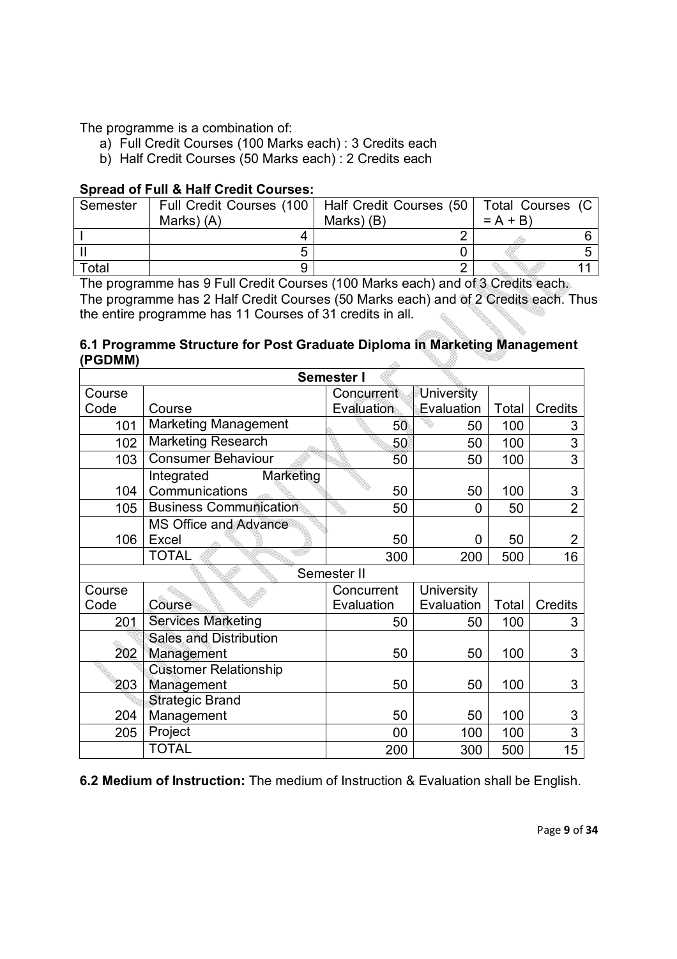The programme is a combination of:

- a) Full Credit Courses (100 Marks each) : 3 Credits each
- b) Half Credit Courses (50 Marks each) : 2 Credits each

### **Spread of Full & Half Credit Courses:**

| Semester |            | Full Credit Courses (100   Half Credit Courses (50   Total Courses (C |           |  |
|----------|------------|-----------------------------------------------------------------------|-----------|--|
|          | Marks) (A) | Marks) (B)                                                            | $= A + B$ |  |
|          |            |                                                                       |           |  |
|          |            |                                                                       |           |  |
| Total    |            |                                                                       |           |  |

The programme has 9 Full Credit Courses (100 Marks each) and of 3 Credits each. The programme has 2 Half Credit Courses (50 Marks each) and of 2 Credits each. Thus the entire programme has 11 Courses of 31 credits in all.

#### **6.1 Programme Structure for Post Graduate Diploma in Marketing Management (PGDMM)**  $\mathcal{A}^{\mathcal{A}}$

| Semester I |                                           |             |                   |       |                |  |
|------------|-------------------------------------------|-------------|-------------------|-------|----------------|--|
| Course     |                                           | Concurrent  | <b>University</b> |       |                |  |
| Code       | Course                                    | Evaluation  | Evaluation        | Total | <b>Credits</b> |  |
| 101        | <b>Marketing Management</b>               | 50          | 50                | 100   | 3              |  |
| 102        | <b>Marketing Research</b>                 | 50          | 50                | 100   | 3              |  |
| 103        | <b>Consumer Behaviour</b>                 | 50          | 50                | 100   | 3              |  |
| 104        | Integrated<br>Marketing<br>Communications | 50          | 50                | 100   | 3              |  |
| 105        | <b>Business Communication</b>             | 50          | 0                 | 50    | $\overline{2}$ |  |
| 106        | <b>MS Office and Advance</b><br>Excel     | 50          | 0                 | 50    | $\overline{2}$ |  |
|            | <b>TOTAL</b>                              | 300         | 200               | 500   | 16             |  |
|            |                                           |             |                   |       |                |  |
|            |                                           | Semester II |                   |       |                |  |
| Course     |                                           | Concurrent  | <b>University</b> |       |                |  |
| Code       | Course                                    | Evaluation  | Evaluation        | Total | Credits        |  |
| 201        | <b>Services Marketing</b>                 | 50          | 50                | 100   | 3              |  |
|            | <b>Sales and Distribution</b>             |             |                   |       |                |  |
| 202        | Management                                | 50          | 50                | 100   | 3              |  |
|            | <b>Customer Relationship</b>              |             |                   |       |                |  |
| 203        | Management                                | 50          | 50                | 100   | 3              |  |
|            | <b>Strategic Brand</b>                    |             |                   |       |                |  |
| 204        | Management                                | 50          | 50                | 100   | 3              |  |
| 205        | Project                                   | 00          | 100               | 100   | 3              |  |
|            | <b>TOTAL</b>                              | 200         | 300               | 500   | 15             |  |

**6.2 Medium of Instruction:** The medium of Instruction & Evaluation shall be English.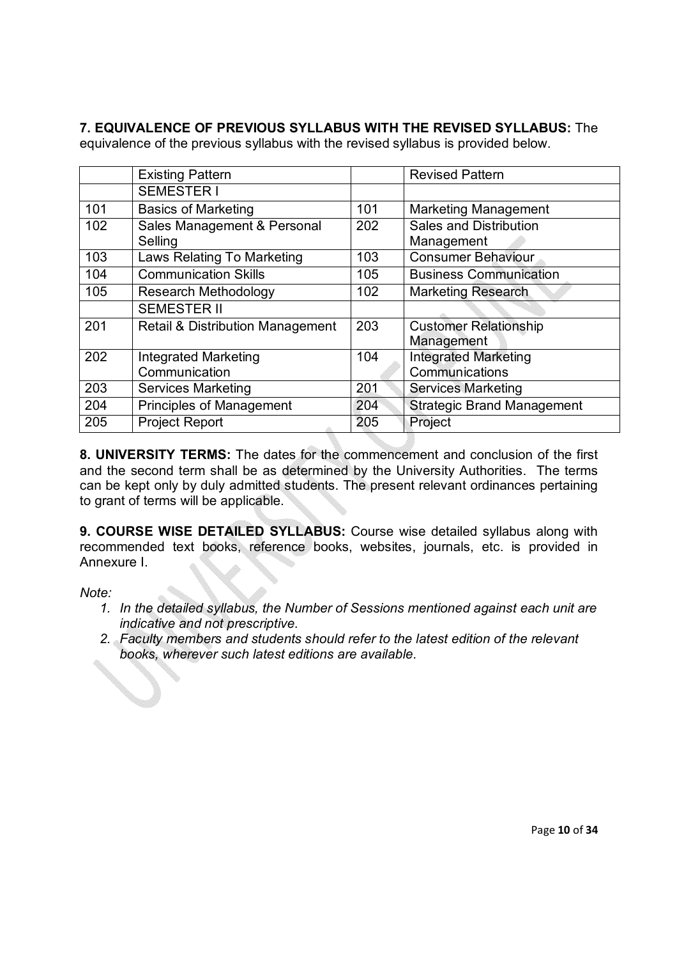## **7. EQUIVALENCE OF PREVIOUS SYLLABUS WITH THE REVISED SYLLABUS:** The

equivalence of the previous syllabus with the revised syllabus is provided below.

|     | <b>Existing Pattern</b>          |     | <b>Revised Pattern</b>            |
|-----|----------------------------------|-----|-----------------------------------|
|     | <b>SEMESTER I</b>                |     |                                   |
| 101 | <b>Basics of Marketing</b>       | 101 | <b>Marketing Management</b>       |
| 102 | Sales Management & Personal      | 202 | <b>Sales and Distribution</b>     |
|     | Selling                          |     | Management                        |
| 103 | Laws Relating To Marketing       | 103 | <b>Consumer Behaviour</b>         |
| 104 | <b>Communication Skills</b>      | 105 | <b>Business Communication</b>     |
| 105 | <b>Research Methodology</b>      | 102 | <b>Marketing Research</b>         |
|     | <b>SEMESTER II</b>               |     |                                   |
| 201 | Retail & Distribution Management | 203 | <b>Customer Relationship</b>      |
|     |                                  |     | Management                        |
| 202 | <b>Integrated Marketing</b>      | 104 | <b>Integrated Marketing</b>       |
|     | Communication                    |     | Communications                    |
| 203 | <b>Services Marketing</b>        | 201 | <b>Services Marketing</b>         |
| 204 | <b>Principles of Management</b>  | 204 | <b>Strategic Brand Management</b> |
| 205 | <b>Project Report</b>            | 205 | Project                           |

**8. UNIVERSITY TERMS:** The dates for the commencement and conclusion of the first and the second term shall be as determined by the University Authorities. The terms can be kept only by duly admitted students. The present relevant ordinances pertaining to grant of terms will be applicable.

**9. COURSE WISE DETAILED SYLLABUS:** Course wise detailed syllabus along with recommended text books, reference books, websites, journals, etc. is provided in Annexure I.

*Note:* 

- *1. In the detailed syllabus, the Number of Sessions mentioned against each unit are indicative and not prescriptive.*
- *2. Faculty members and students should refer to the latest edition of the relevant books, wherever such latest editions are available.*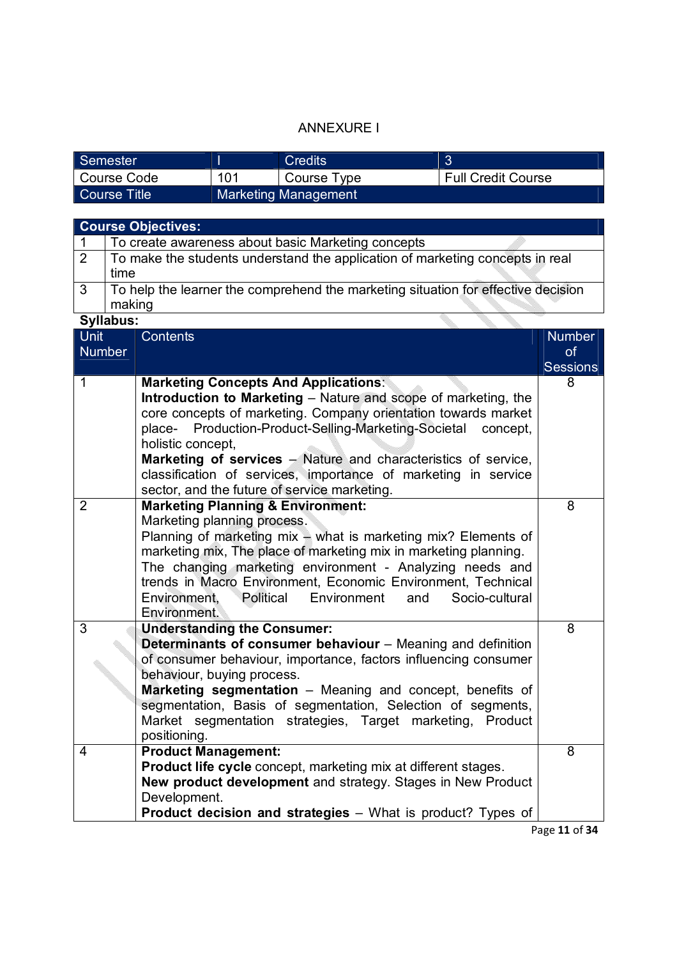## ANNEXURE I

| Semester      |     | Credits                     |                           |
|---------------|-----|-----------------------------|---------------------------|
| l Course Code | 101 | Course Type                 | <b>Full Credit Course</b> |
| Course Title  |     | <b>Marketing Management</b> |                           |

|                              |           | <b>Course Objectives:</b>                                                                                                                                                                                                                                                                                                                                                                                                                                              |                                               |
|------------------------------|-----------|------------------------------------------------------------------------------------------------------------------------------------------------------------------------------------------------------------------------------------------------------------------------------------------------------------------------------------------------------------------------------------------------------------------------------------------------------------------------|-----------------------------------------------|
| 1                            |           | To create awareness about basic Marketing concepts                                                                                                                                                                                                                                                                                                                                                                                                                     |                                               |
| $\overline{2}$               | time      | To make the students understand the application of marketing concepts in real                                                                                                                                                                                                                                                                                                                                                                                          |                                               |
| 3                            | making    | To help the learner the comprehend the marketing situation for effective decision                                                                                                                                                                                                                                                                                                                                                                                      |                                               |
|                              | Syllabus: |                                                                                                                                                                                                                                                                                                                                                                                                                                                                        |                                               |
| <b>Unit</b><br><b>Number</b> |           | <b>Contents</b>                                                                                                                                                                                                                                                                                                                                                                                                                                                        | <b>Number</b><br><b>of</b><br><b>Sessions</b> |
| 1                            |           | <b>Marketing Concepts And Applications:</b><br><b>Introduction to Marketing - Nature and scope of marketing, the</b><br>core concepts of marketing. Company orientation towards market<br>Production-Product-Selling-Marketing-Societal<br>place-<br>concept,<br>holistic concept,<br>Marketing of services - Nature and characteristics of service,<br>classification of services, importance of marketing in service<br>sector, and the future of service marketing. | 8                                             |
| $\overline{2}$               |           | <b>Marketing Planning &amp; Environment:</b><br>Marketing planning process.<br>Planning of marketing mix - what is marketing mix? Elements of<br>marketing mix, The place of marketing mix in marketing planning.<br>The changing marketing environment - Analyzing needs and<br>trends in Macro Environment, Economic Environment, Technical<br>Political<br>Environment,<br>Environment<br>Socio-cultural<br>and<br>Environment.                                     | 8                                             |
| 3                            |           | <b>Understanding the Consumer:</b><br><b>Determinants of consumer behaviour</b> – Meaning and definition<br>of consumer behaviour, importance, factors influencing consumer<br>behaviour, buying process.<br>Marketing segmentation - Meaning and concept, benefits of<br>segmentation, Basis of segmentation, Selection of segments,<br>Market segmentation strategies, Target marketing,<br>Product<br>positioning.                                                  | 8                                             |
| $\overline{4}$               |           | <b>Product Management:</b><br>Product life cycle concept, marketing mix at different stages.<br>New product development and strategy. Stages in New Product<br>Development.<br><b>Product decision and strategies</b> - What is product? Types of                                                                                                                                                                                                                      | 8                                             |

Page **11** of **34**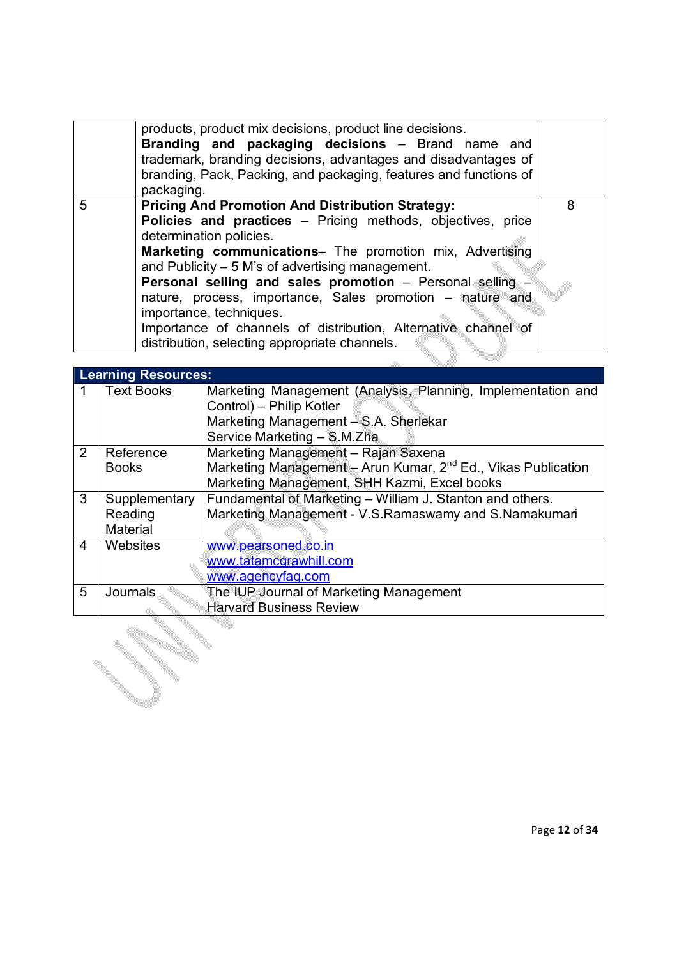| <b>Pricing And Promotion And Distribution Strategy:</b><br>5<br>8<br>Policies and practices - Pricing methods, objectives, price<br>determination policies.<br>Marketing communications- The promotion mix, Advertising<br>and Publicity $-5$ M's of advertising management.<br>Personal selling and sales promotion - Personal selling -<br>nature, process, importance, Sales promotion – nature and<br>importance, techniques.<br>Importance of channels of distribution, Alternative channel of<br>distribution, selecting appropriate channels. | products, product mix decisions, product line decisions.<br>Branding and packaging decisions - Brand name and<br>trademark, branding decisions, advantages and disadvantages of<br>branding, Pack, Packing, and packaging, features and functions of<br>packaging. |  |
|------------------------------------------------------------------------------------------------------------------------------------------------------------------------------------------------------------------------------------------------------------------------------------------------------------------------------------------------------------------------------------------------------------------------------------------------------------------------------------------------------------------------------------------------------|--------------------------------------------------------------------------------------------------------------------------------------------------------------------------------------------------------------------------------------------------------------------|--|
|                                                                                                                                                                                                                                                                                                                                                                                                                                                                                                                                                      |                                                                                                                                                                                                                                                                    |  |

|               | <b>Learning Resources:</b> |                                                                           |
|---------------|----------------------------|---------------------------------------------------------------------------|
|               | <b>Text Books</b>          | Marketing Management (Analysis, Planning, Implementation and              |
|               |                            | Control) - Philip Kotler                                                  |
|               |                            | Marketing Management - S.A. Sherlekar                                     |
|               |                            | Service Marketing - S.M.Zha                                               |
| $\mathcal{P}$ | Reference                  | Marketing Management - Rajan Saxena                                       |
|               | <b>Books</b>               | Marketing Management - Arun Kumar, 2 <sup>nd</sup> Ed., Vikas Publication |
|               |                            | Marketing Management, SHH Kazmi, Excel books                              |
| 3             | Supplementary              | Fundamental of Marketing - William J. Stanton and others.                 |
|               | Reading                    | Marketing Management - V.S.Ramaswamy and S.Namakumari                     |
|               | Material                   |                                                                           |
| 4             | Websites                   | www.pearsoned.co.in                                                       |
|               |                            | www.tatamcgrawhill.com                                                    |
|               |                            | www.agencyfaq.com                                                         |
| 5             | Journals                   | The IUP Journal of Marketing Management                                   |
|               |                            | <b>Harvard Business Review</b>                                            |

ر<br>پ S.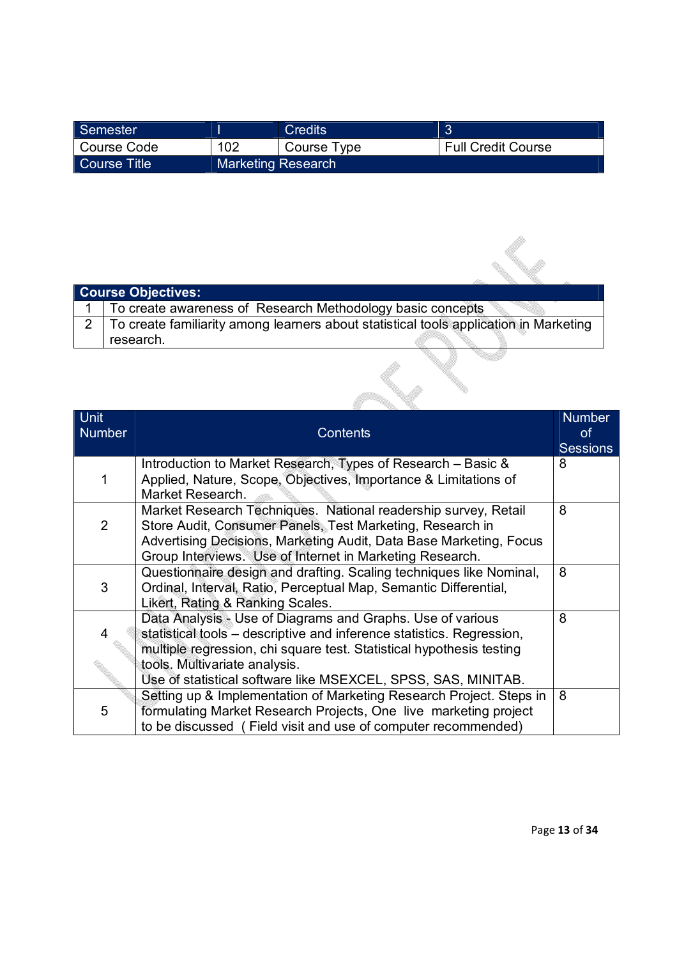| Semester     |                           | Credits     |                           |
|--------------|---------------------------|-------------|---------------------------|
| Course Code  | 102                       | Course Type | <b>Full Credit Course</b> |
| Course Title | <b>Marketing Research</b> |             |                           |

|                | <b>Course Objectives:</b>                                                             |
|----------------|---------------------------------------------------------------------------------------|
|                | To create awareness of Research Methodology basic concepts                            |
| $\overline{2}$ | To create familiarity among learners about statistical tools application in Marketing |
|                | research.                                                                             |
|                |                                                                                       |

| Unit<br><b>Number</b> | <b>Contents</b>                                                                                                                 | <b>Number</b><br>0f<br><b>Sessions</b> |
|-----------------------|---------------------------------------------------------------------------------------------------------------------------------|----------------------------------------|
|                       | Introduction to Market Research, Types of Research – Basic &                                                                    | 8                                      |
| 1                     | Applied, Nature, Scope, Objectives, Importance & Limitations of<br>Market Research.                                             |                                        |
|                       | Market Research Techniques. National readership survey, Retail                                                                  | 8                                      |
| $\overline{2}$        | Store Audit, Consumer Panels, Test Marketing, Research in<br>Advertising Decisions, Marketing Audit, Data Base Marketing, Focus |                                        |
|                       | Group Interviews. Use of Internet in Marketing Research.                                                                        |                                        |
|                       | Questionnaire design and drafting. Scaling techniques like Nominal,                                                             | 8                                      |
| 3                     | Ordinal, Interval, Ratio, Perceptual Map, Semantic Differential,                                                                |                                        |
|                       | Likert, Rating & Ranking Scales.                                                                                                |                                        |
|                       | Data Analysis - Use of Diagrams and Graphs. Use of various                                                                      | 8                                      |
| 4                     | statistical tools – descriptive and inference statistics. Regression,                                                           |                                        |
|                       | multiple regression, chi square test. Statistical hypothesis testing                                                            |                                        |
|                       | tools. Multivariate analysis.                                                                                                   |                                        |
|                       | Use of statistical software like MSEXCEL, SPSS, SAS, MINITAB.                                                                   |                                        |
|                       | Setting up & Implementation of Marketing Research Project. Steps in                                                             | 8                                      |
| 5                     | formulating Market Research Projects, One live marketing project                                                                |                                        |
|                       | to be discussed (Field visit and use of computer recommended)                                                                   |                                        |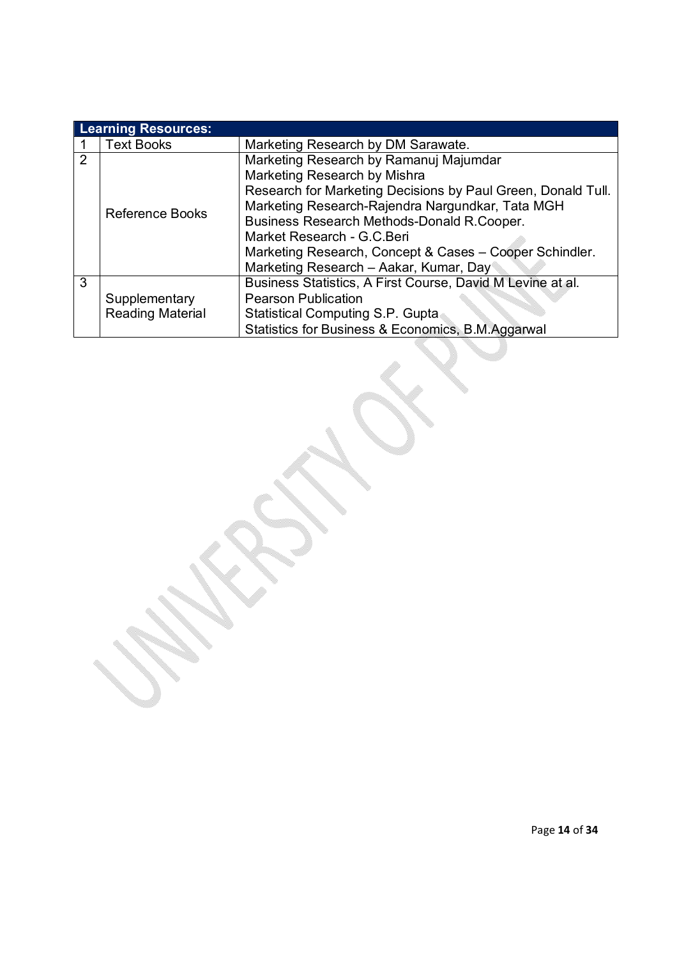|               | <b>Learning Resources:</b> |                                                              |  |
|---------------|----------------------------|--------------------------------------------------------------|--|
|               | <b>Text Books</b>          | Marketing Research by DM Sarawate.                           |  |
| $\mathcal{P}$ |                            | Marketing Research by Ramanuj Majumdar                       |  |
|               |                            | Marketing Research by Mishra                                 |  |
|               |                            | Research for Marketing Decisions by Paul Green, Donald Tull. |  |
|               | Reference Books            | Marketing Research-Rajendra Nargundkar, Tata MGH             |  |
|               |                            | Business Research Methods-Donald R.Cooper.                   |  |
|               |                            | Market Research - G.C.Beri                                   |  |
|               |                            | Marketing Research, Concept & Cases - Cooper Schindler.      |  |
|               |                            | Marketing Research - Aakar, Kumar, Day                       |  |
| 3             |                            | Business Statistics, A First Course, David M Levine at al.   |  |
|               | Supplementary              | <b>Pearson Publication</b>                                   |  |
|               | <b>Reading Material</b>    | <b>Statistical Computing S.P. Gupta</b>                      |  |
|               |                            | Statistics for Business & Economics, B.M.Aggarwal            |  |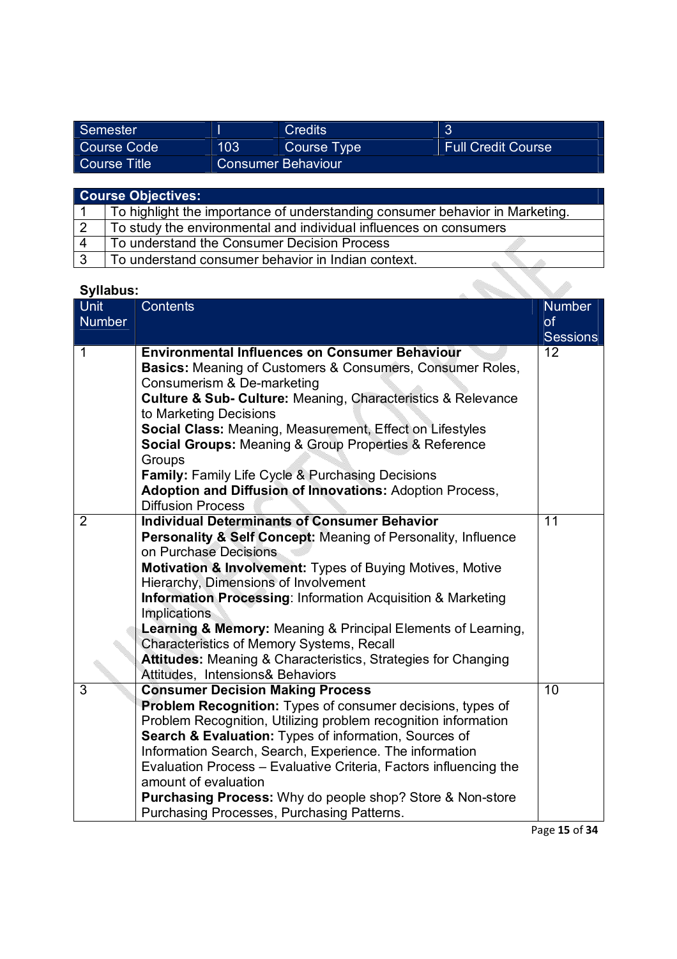| Semester     |                           | <b>Credits</b> |                           |
|--------------|---------------------------|----------------|---------------------------|
| Course Code  | 103                       | Course Type    | <b>Full Credit Course</b> |
| Course Title | <b>Consumer Behaviour</b> |                |                           |

|              | <b>Course Objectives:</b>                                                    |
|--------------|------------------------------------------------------------------------------|
|              | To highlight the importance of understanding consumer behavior in Marketing. |
|              | To study the environmental and individual influences on consumers            |
| 4            | To understand the Consumer Decision Process                                  |
| $\mathbf{r}$ | To understand consumer behavior in Indian context.                           |

| <b>Syllabus:</b>             |                                                                                                                                                                                                                                                                                                                                                                                                                                                                                                                                                                                  |                                        |
|------------------------------|----------------------------------------------------------------------------------------------------------------------------------------------------------------------------------------------------------------------------------------------------------------------------------------------------------------------------------------------------------------------------------------------------------------------------------------------------------------------------------------------------------------------------------------------------------------------------------|----------------------------------------|
| <b>Unit</b><br><b>Number</b> | <b>Contents</b>                                                                                                                                                                                                                                                                                                                                                                                                                                                                                                                                                                  | <b>Number</b><br>of<br><b>Sessions</b> |
| $\mathbf 1$                  | <b>Environmental Influences on Consumer Behaviour</b><br><b>Basics:</b> Meaning of Customers & Consumers, Consumer Roles,<br>Consumerism & De-marketing<br><b>Culture &amp; Sub- Culture: Meaning, Characteristics &amp; Relevance</b><br>to Marketing Decisions<br>Social Class: Meaning, Measurement, Effect on Lifestyles<br><b>Social Groups: Meaning &amp; Group Properties &amp; Reference</b><br>Groups<br><b>Family: Family Life Cycle &amp; Purchasing Decisions</b><br>Adoption and Diffusion of Innovations: Adoption Process,<br><b>Diffusion Process</b>            | 12                                     |
| 2                            | <b>Individual Determinants of Consumer Behavior</b><br><b>Personality &amp; Self Concept: Meaning of Personality, Influence</b><br>on Purchase Decisions<br>Motivation & Involvement: Types of Buying Motives, Motive<br>Hierarchy, Dimensions of Involvement<br><b>Information Processing: Information Acquisition &amp; Marketing</b><br>Implications<br>Learning & Memory: Meaning & Principal Elements of Learning,<br>Characteristics of Memory Systems, Recall<br><b>Attitudes:</b> Meaning & Characteristics, Strategies for Changing<br>Attitudes, Intensions& Behaviors | $\overline{11}$                        |
| 3                            | <b>Consumer Decision Making Process</b><br>Problem Recognition: Types of consumer decisions, types of<br>Problem Recognition, Utilizing problem recognition information<br>Search & Evaluation: Types of information, Sources of<br>Information Search, Search, Experience. The information<br>Evaluation Process - Evaluative Criteria, Factors influencing the<br>amount of evaluation<br><b>Purchasing Process:</b> Why do people shop? Store & Non-store<br>Purchasing Processes, Purchasing Patterns.                                                                       | 10                                     |

Page **15** of **34**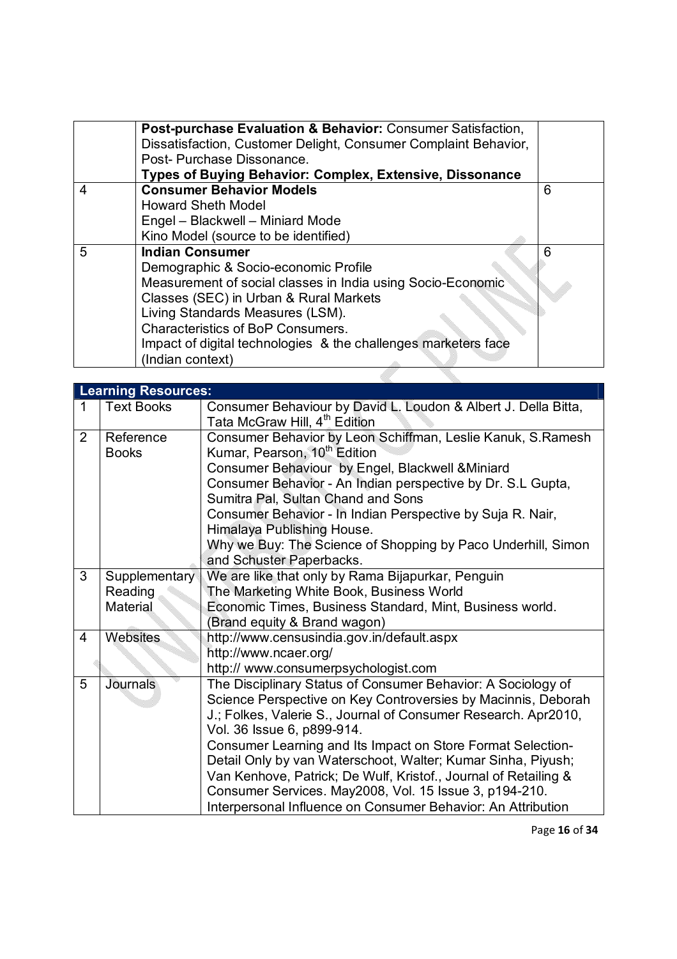|   | Post-purchase Evaluation & Behavior: Consumer Satisfaction,     |   |
|---|-----------------------------------------------------------------|---|
|   | Dissatisfaction, Customer Delight, Consumer Complaint Behavior, |   |
|   | Post-Purchase Dissonance.                                       |   |
|   | Types of Buying Behavior: Complex, Extensive, Dissonance        |   |
| 4 | <b>Consumer Behavior Models</b>                                 | 6 |
|   | <b>Howard Sheth Model</b>                                       |   |
|   | Engel - Blackwell - Miniard Mode                                |   |
|   | Kino Model (source to be identified)                            |   |
| 5 | <b>Indian Consumer</b>                                          | 6 |
|   | Demographic & Socio-economic Profile                            |   |
|   | Measurement of social classes in India using Socio-Economic     |   |
|   | Classes (SEC) in Urban & Rural Markets                          |   |
|   | Living Standards Measures (LSM).                                |   |
|   | <b>Characteristics of BoP Consumers.</b>                        |   |
|   | Impact of digital technologies & the challenges marketers face  |   |
|   | (Indian context)                                                |   |
|   |                                                                 |   |

|   | <b>Learning Resources:</b>           |                                                                                                                                                                                                                                                                                                                                                                                                                                                                                                                                                           |  |
|---|--------------------------------------|-----------------------------------------------------------------------------------------------------------------------------------------------------------------------------------------------------------------------------------------------------------------------------------------------------------------------------------------------------------------------------------------------------------------------------------------------------------------------------------------------------------------------------------------------------------|--|
| 1 | <b>Text Books</b>                    | Consumer Behaviour by David L. Loudon & Albert J. Della Bitta,<br>Tata McGraw Hill, 4 <sup>th</sup> Edition                                                                                                                                                                                                                                                                                                                                                                                                                                               |  |
| 2 | Reference<br><b>Books</b>            | Consumer Behavior by Leon Schiffman, Leslie Kanuk, S.Ramesh<br>Kumar, Pearson, 10 <sup>th</sup> Edition<br>Consumer Behaviour by Engel, Blackwell & Miniard<br>Consumer Behavior - An Indian perspective by Dr. S.L Gupta,<br>Sumitra Pal, Sultan Chand and Sons<br>Consumer Behavior - In Indian Perspective by Suja R. Nair,<br>Himalaya Publishing House.<br>Why we Buy: The Science of Shopping by Paco Underhill, Simon<br>and Schuster Paperbacks.                                                                                                  |  |
| 3 | Supplementary<br>Reading<br>Material | We are like that only by Rama Bijapurkar, Penguin<br>The Marketing White Book, Business World<br>Economic Times, Business Standard, Mint, Business world.<br>(Brand equity & Brand wagon)                                                                                                                                                                                                                                                                                                                                                                 |  |
| 4 | <b>Websites</b>                      | http://www.censusindia.gov.in/default.aspx<br>http://www.ncaer.org/<br>http:// www.consumerpsychologist.com                                                                                                                                                                                                                                                                                                                                                                                                                                               |  |
| 5 | <b>Journals</b>                      | The Disciplinary Status of Consumer Behavior: A Sociology of<br>Science Perspective on Key Controversies by Macinnis, Deborah<br>J.; Folkes, Valerie S., Journal of Consumer Research. Apr2010,<br>Vol. 36 Issue 6, p899-914.<br>Consumer Learning and Its Impact on Store Format Selection-<br>Detail Only by van Waterschoot, Walter; Kumar Sinha, Piyush;<br>Van Kenhove, Patrick; De Wulf, Kristof., Journal of Retailing &<br>Consumer Services. May2008, Vol. 15 Issue 3, p194-210.<br>Interpersonal Influence on Consumer Behavior: An Attribution |  |

Page **16** of **34**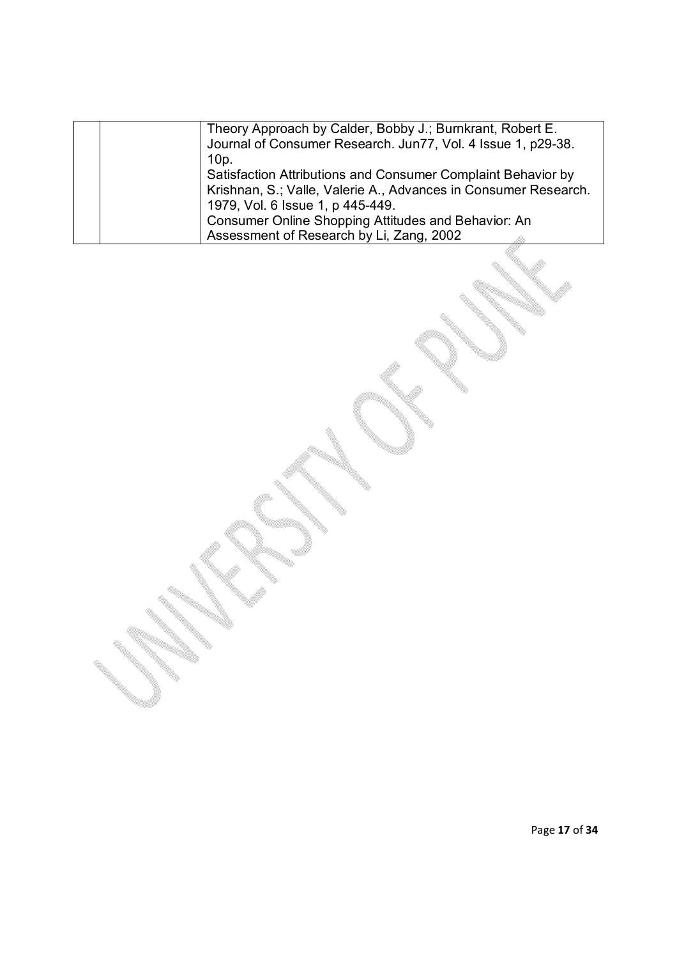|  | Theory Approach by Calder, Bobby J.; Burnkrant, Robert E.       |
|--|-----------------------------------------------------------------|
|  | Journal of Consumer Research. Jun77, Vol. 4 Issue 1, p29-38.    |
|  | $10p$ .                                                         |
|  | Satisfaction Attributions and Consumer Complaint Behavior by    |
|  | Krishnan, S.; Valle, Valerie A., Advances in Consumer Research. |
|  | 1979, Vol. 6 Issue 1, p 445-449.                                |
|  | Consumer Online Shopping Attitudes and Behavior: An             |
|  | Assessment of Research by Li, Zang, 2002                        |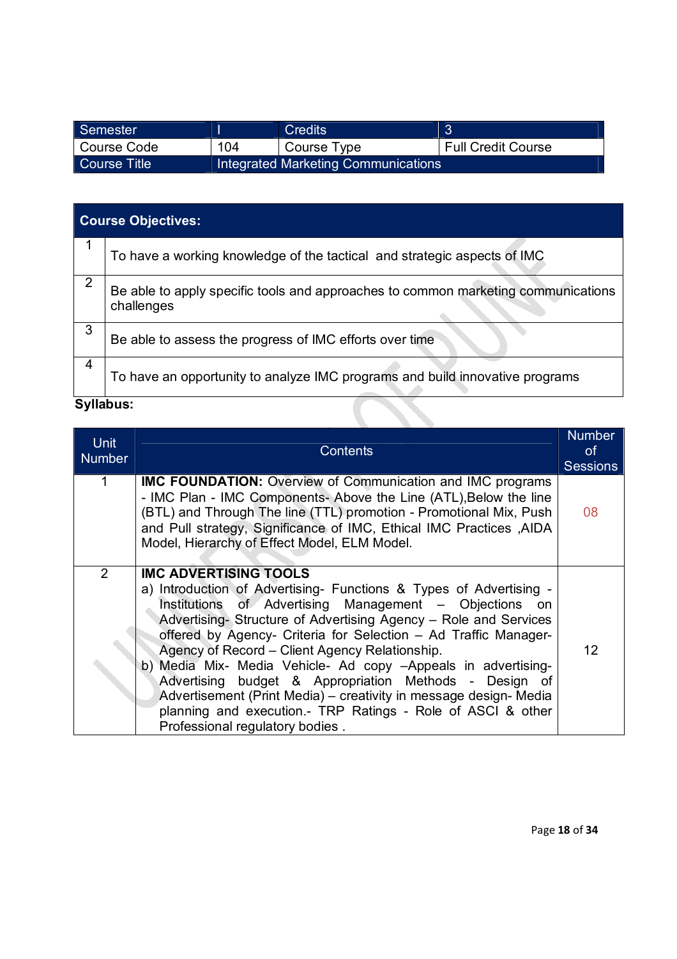| Semester     |     | <b>Credits</b>                      | $\sqrt{2}$                |
|--------------|-----|-------------------------------------|---------------------------|
| Course Code  | 104 | Course Type                         | <b>Full Credit Course</b> |
| Course Title |     | Integrated Marketing Communications |                           |

|                | <b>Course Objectives:</b>                                                                       |  |  |
|----------------|-------------------------------------------------------------------------------------------------|--|--|
| 1              | To have a working knowledge of the tactical and strategic aspects of IMC                        |  |  |
| $\overline{2}$ | Be able to apply specific tools and approaches to common marketing communications<br>challenges |  |  |
| 3              | Be able to assess the progress of IMC efforts over time                                         |  |  |
| 4              | To have an opportunity to analyze IMC programs and build innovative programs                    |  |  |
|                | <b>Syllabus:</b><br><b>Note a service the service</b>                                           |  |  |

| <b>Unit</b><br><b>Number</b> | <b>Contents</b>                                                                                                                                                                                                                                                                                                                                                                                                                                                                                                                                                                                                                                         | <b>Number</b><br><b>of</b><br><b>Sessions</b> |
|------------------------------|---------------------------------------------------------------------------------------------------------------------------------------------------------------------------------------------------------------------------------------------------------------------------------------------------------------------------------------------------------------------------------------------------------------------------------------------------------------------------------------------------------------------------------------------------------------------------------------------------------------------------------------------------------|-----------------------------------------------|
|                              | <b>IMC FOUNDATION:</b> Overview of Communication and IMC programs<br>- IMC Plan - IMC Components- Above the Line (ATL), Below the line<br>(BTL) and Through The line (TTL) promotion - Promotional Mix, Push<br>and Pull strategy, Significance of IMC, Ethical IMC Practices , AIDA<br>Model, Hierarchy of Effect Model, ELM Model.                                                                                                                                                                                                                                                                                                                    | 08                                            |
| 2                            | <b>IMC ADVERTISING TOOLS</b><br>a) Introduction of Advertising- Functions & Types of Advertising -<br>Institutions of Advertising Management - Objections on<br>Advertising- Structure of Advertising Agency - Role and Services<br>offered by Agency- Criteria for Selection - Ad Traffic Manager-<br>Agency of Record - Client Agency Relationship.<br>b) Media Mix- Media Vehicle- Ad copy -Appeals in advertising-<br>Advertising budget & Appropriation Methods - Design of<br>Advertisement (Print Media) – creativity in message design- Media<br>planning and execution.- TRP Ratings - Role of ASCI & other<br>Professional regulatory bodies. | 12                                            |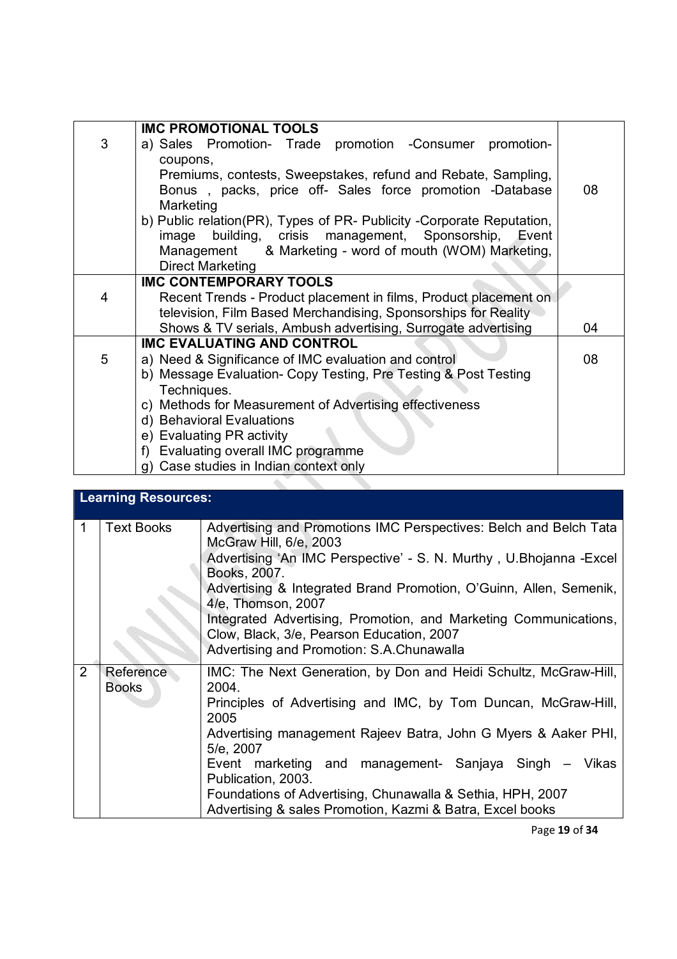|   | <b>IMC PROMOTIONAL TOOLS</b>                                          |    |
|---|-----------------------------------------------------------------------|----|
| 3 | a) Sales Promotion- Trade promotion - Consumer promotion-             |    |
|   | coupons,                                                              |    |
|   | Premiums, contests, Sweepstakes, refund and Rebate, Sampling,         |    |
|   | Bonus, packs, price off- Sales force promotion -Database              | 08 |
|   | Marketing                                                             |    |
|   |                                                                       |    |
|   | b) Public relation(PR), Types of PR- Publicity -Corporate Reputation, |    |
|   | building, crisis management, Sponsorship, Event<br>image              |    |
|   | Management & Marketing - word of mouth (WOM) Marketing,               |    |
|   | <b>Direct Marketing</b>                                               |    |
|   | <b>IMC CONTEMPORARY TOOLS</b>                                         |    |
| 4 | Recent Trends - Product placement in films, Product placement on      |    |
|   | television, Film Based Merchandising, Sponsorships for Reality        |    |
|   | Shows & TV serials, Ambush advertising, Surrogate advertising         | 04 |
|   | <b>IMC EVALUATING AND CONTROL</b>                                     |    |
| 5 | a) Need & Significance of IMC evaluation and control                  | 08 |
|   | b) Message Evaluation- Copy Testing, Pre Testing & Post Testing       |    |
|   | Techniques.                                                           |    |
|   | c) Methods for Measurement of Advertising effectiveness               |    |
|   | d) Behavioral Evaluations                                             |    |
|   | e) Evaluating PR activity                                             |    |
|   | f) Evaluating overall IMC programme                                   |    |
|   | g) Case studies in Indian context only                                |    |
|   |                                                                       |    |

|   | <b>Learning Resources:</b> |                                                                                                                                                                                                                                                                                                                                                                                                                                              |  |
|---|----------------------------|----------------------------------------------------------------------------------------------------------------------------------------------------------------------------------------------------------------------------------------------------------------------------------------------------------------------------------------------------------------------------------------------------------------------------------------------|--|
|   | <b>Text Books</b>          | Advertising and Promotions IMC Perspectives: Belch and Belch Tata<br>McGraw Hill, 6/e, 2003<br>Advertising 'An IMC Perspective' - S. N. Murthy, U.Bhojanna - Excel<br>Books, 2007.<br>Advertising & Integrated Brand Promotion, O'Guinn, Allen, Semenik,<br>4/e, Thomson, 2007<br>Integrated Advertising, Promotion, and Marketing Communications,<br>Clow, Black, 3/e, Pearson Education, 2007<br>Advertising and Promotion: S.A.Chunawalla |  |
| 2 | Reference<br><b>Books</b>  | IMC: The Next Generation, by Don and Heidi Schultz, McGraw-Hill,<br>2004.<br>Principles of Advertising and IMC, by Tom Duncan, McGraw-Hill,<br>2005<br>Advertising management Rajeev Batra, John G Myers & Aaker PHI,<br>5/e, 2007<br>Event marketing and management- Sanjaya Singh – Vikas<br>Publication, 2003.<br>Foundations of Advertising, Chunawalla & Sethia, HPH, 2007<br>Advertising & sales Promotion, Kazmi & Batra, Excel books |  |

Page **19** of **34**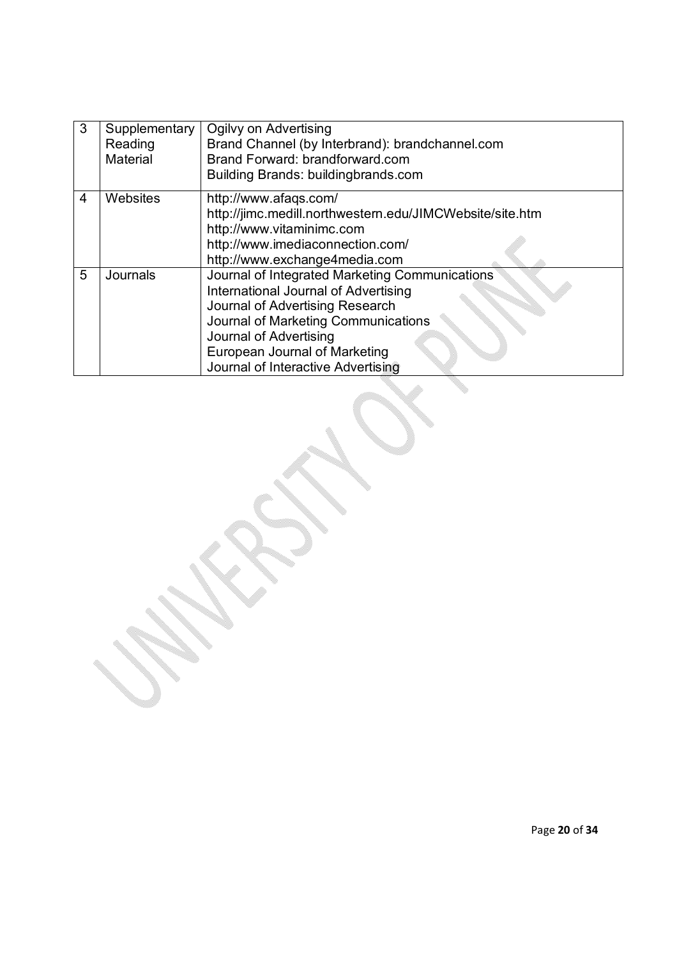| 3 | Supplementary   | Ogilvy on Advertising                                    |
|---|-----------------|----------------------------------------------------------|
|   | Reading         | Brand Channel (by Interbrand): brandchannel.com          |
|   | Material        | Brand Forward: brandforward.com                          |
|   |                 | Building Brands: buildingbrands.com                      |
| 4 | Websites        | http://www.afaqs.com/                                    |
|   |                 | http://jimc.medill.northwestern.edu/JIMCWebsite/site.htm |
|   |                 | http://www.vitaminimc.com                                |
|   |                 | http://www.imediaconnection.com/                         |
|   |                 | http://www.exchange4media.com                            |
| 5 | <b>Journals</b> | Journal of Integrated Marketing Communications           |
|   |                 | International Journal of Advertising                     |
|   |                 | Journal of Advertising Research                          |
|   |                 | Journal of Marketing Communications                      |
|   |                 | Journal of Advertising                                   |
|   |                 | European Journal of Marketing                            |
|   |                 | Journal of Interactive Advertising                       |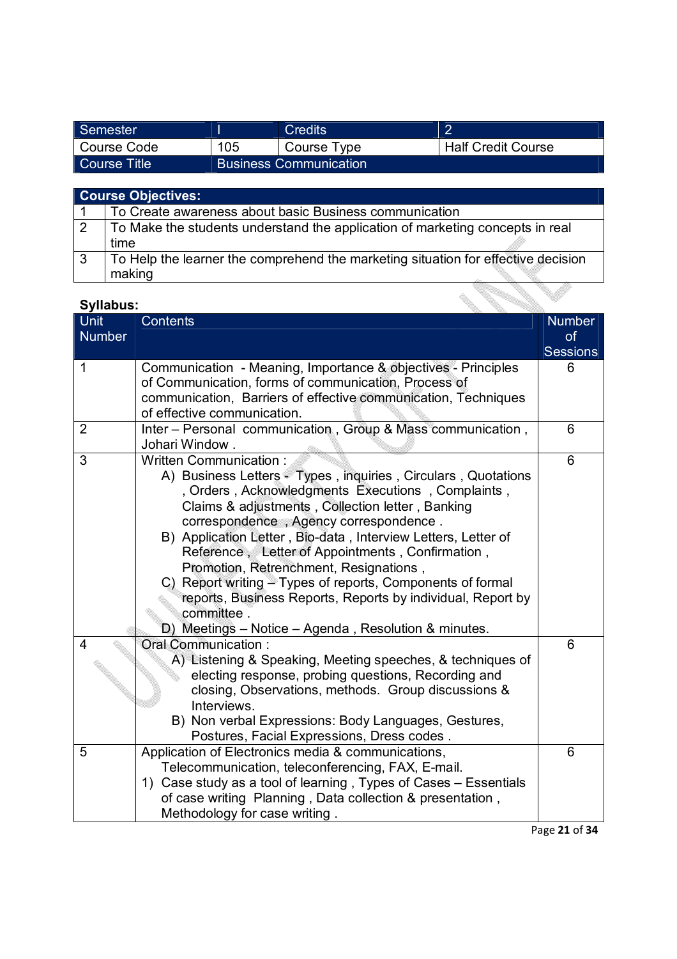| Semester     |     | <b>Credits</b>                |                           |
|--------------|-----|-------------------------------|---------------------------|
| Course Code  | 105 | Course Type                   | <b>Half Credit Course</b> |
| Course Title |     | <b>Business Communication</b> |                           |

|    | <b>Course Objectives:</b>                                                         |
|----|-----------------------------------------------------------------------------------|
|    | To Create awareness about basic Business communication                            |
| 2  | To Make the students understand the application of marketing concepts in real     |
|    | time                                                                              |
| -3 | To Help the learner the comprehend the marketing situation for effective decision |
|    | making                                                                            |

| <b>Syllabus:</b>             |                                                                                                                                                                                                                                                                                                                                                                                                                                                                                                                                                                                                              |                                               |
|------------------------------|--------------------------------------------------------------------------------------------------------------------------------------------------------------------------------------------------------------------------------------------------------------------------------------------------------------------------------------------------------------------------------------------------------------------------------------------------------------------------------------------------------------------------------------------------------------------------------------------------------------|-----------------------------------------------|
| <b>Unit</b><br><b>Number</b> | <b>Contents</b>                                                                                                                                                                                                                                                                                                                                                                                                                                                                                                                                                                                              | <b>Number</b><br><b>of</b><br><b>Sessions</b> |
| 1                            | Communication - Meaning, Importance & objectives - Principles<br>of Communication, forms of communication, Process of<br>communication, Barriers of effective communication, Techniques<br>of effective communication.                                                                                                                                                                                                                                                                                                                                                                                       | 6                                             |
| $\overline{2}$               | Inter - Personal communication, Group & Mass communication,<br>Johari Window.                                                                                                                                                                                                                                                                                                                                                                                                                                                                                                                                | 6                                             |
| 3                            | Written Communication:<br>A) Business Letters - Types, inquiries, Circulars, Quotations<br>, Orders, Acknowledgments Executions, Complaints,<br>Claims & adjustments, Collection letter, Banking<br>correspondence, Agency correspondence.<br>B) Application Letter, Bio-data, Interview Letters, Letter of<br>Reference, Letter of Appointments, Confirmation,<br>Promotion, Retrenchment, Resignations,<br>C) Report writing - Types of reports, Components of formal<br>reports, Business Reports, Reports by individual, Report by<br>committee.<br>D) Meetings – Notice – Agenda, Resolution & minutes. | 6                                             |
| 4                            | <b>Oral Communication:</b><br>A) Listening & Speaking, Meeting speeches, & techniques of<br>electing response, probing questions, Recording and<br>closing, Observations, methods. Group discussions &<br>Interviews.<br>B) Non verbal Expressions: Body Languages, Gestures,<br>Postures, Facial Expressions, Dress codes.                                                                                                                                                                                                                                                                                  | 6                                             |
| 5                            | Application of Electronics media & communications,<br>Telecommunication, teleconferencing, FAX, E-mail.<br>1) Case study as a tool of learning, Types of Cases - Essentials<br>of case writing Planning, Data collection & presentation,<br>Methodology for case writing.                                                                                                                                                                                                                                                                                                                                    | 6                                             |

Page **21** of **34**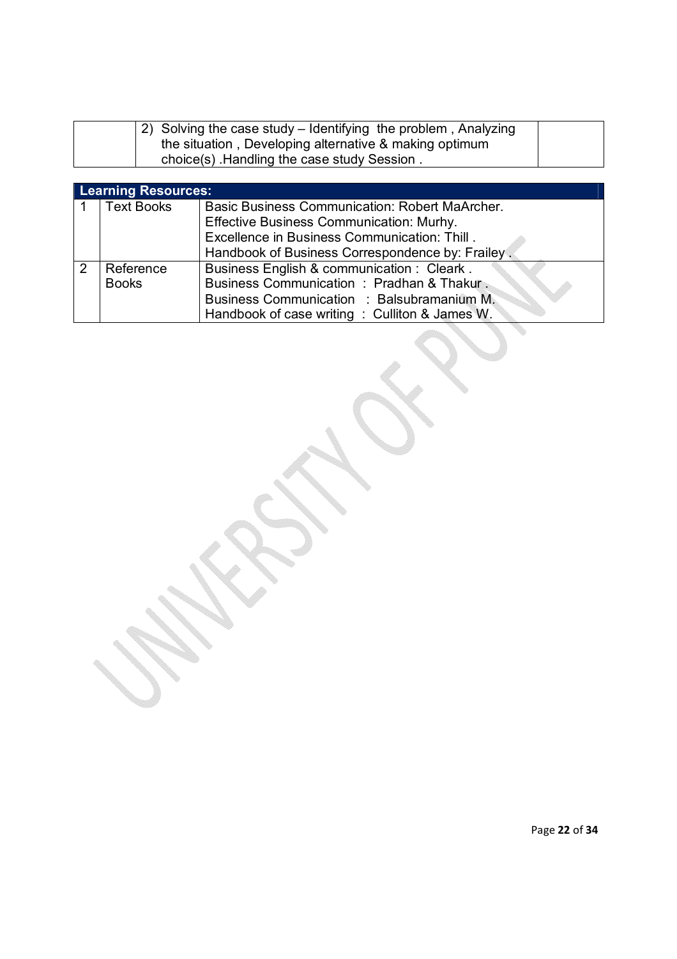| $\vert$ 2) Solving the case study – Identifying the problem, Analyzing |  |
|------------------------------------------------------------------------|--|
| the situation, Developing alternative & making optimum                 |  |
| choice(s) Handling the case study Session.                             |  |

|   | <b>Learning Resources:</b> |                                                  |  |  |
|---|----------------------------|--------------------------------------------------|--|--|
|   | <b>Text Books</b>          | Basic Business Communication: Robert MaArcher.   |  |  |
|   |                            | Effective Business Communication: Murhy.         |  |  |
|   |                            | Excellence in Business Communication: Thill.     |  |  |
|   |                            | Handbook of Business Correspondence by: Frailey. |  |  |
| 2 | Reference                  | Business English & communication : Cleark.       |  |  |
|   | <b>Books</b>               | Business Communication: Pradhan & Thakur.        |  |  |
|   |                            | Business Communication : Balsubramanium M.       |  |  |
|   |                            | Handbook of case writing : Culliton & James W.   |  |  |

I,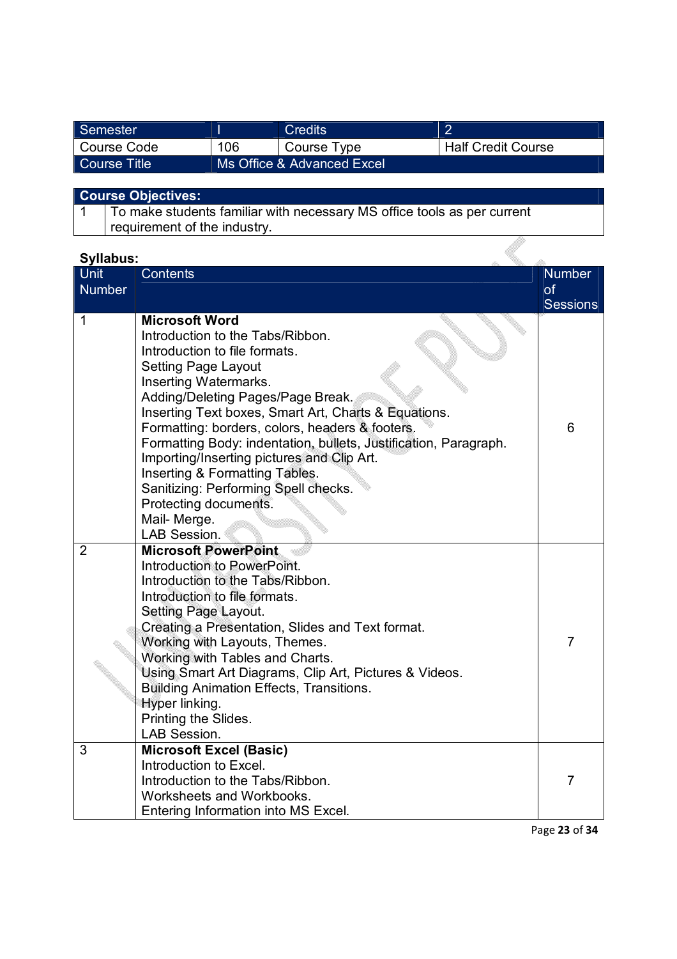| Semester         |     | Credits                    | n                         |
|------------------|-----|----------------------------|---------------------------|
| Course Code      | 106 | Course Type                | <b>Half Credit Course</b> |
| ∣ Course Title ∶ |     | Ms Office & Advanced Excel |                           |

#### **Course Objectives:**

1 To make students familiar with necessary MS office tools as per current requirement of the industry.

### **Syllabus:**

| <b>Syllabus:</b> |                                                                                                                                                                                                                                                                                                                                                                                                                                                                                                                                                       |                 |
|------------------|-------------------------------------------------------------------------------------------------------------------------------------------------------------------------------------------------------------------------------------------------------------------------------------------------------------------------------------------------------------------------------------------------------------------------------------------------------------------------------------------------------------------------------------------------------|-----------------|
| <b>Unit</b>      | <b>Contents</b>                                                                                                                                                                                                                                                                                                                                                                                                                                                                                                                                       | <b>Number</b>   |
| <b>Number</b>    |                                                                                                                                                                                                                                                                                                                                                                                                                                                                                                                                                       | of              |
|                  |                                                                                                                                                                                                                                                                                                                                                                                                                                                                                                                                                       | <b>Sessions</b> |
| 1                | <b>Microsoft Word</b><br>Introduction to the Tabs/Ribbon.<br>Introduction to file formats.<br><b>Setting Page Layout</b><br>Inserting Watermarks.<br>Adding/Deleting Pages/Page Break.<br>Inserting Text boxes, Smart Art, Charts & Equations.<br>Formatting: borders, colors, headers & footers.<br>Formatting Body: indentation, bullets, Justification, Paragraph.<br>Importing/Inserting pictures and Clip Art.<br>Inserting & Formatting Tables.<br>Sanitizing: Performing Spell checks.<br>Protecting documents.<br>Mail-Merge.<br>LAB Session. | 6               |
| $\overline{2}$   | <b>Microsoft PowerPoint</b><br>Introduction to PowerPoint.<br>Introduction to the Tabs/Ribbon.<br>Introduction to file formats.<br><b>Setting Page Layout.</b><br>Creating a Presentation, Slides and Text format.<br>Working with Layouts, Themes.<br>Working with Tables and Charts.<br>Using Smart Art Diagrams, Clip Art, Pictures & Videos.<br><b>Building Animation Effects, Transitions.</b><br>Hyper linking.<br>Printing the Slides.<br>LAB Session.                                                                                         | $\overline{7}$  |
| $\overline{3}$   | <b>Microsoft Excel (Basic)</b><br>Introduction to Excel.<br>Introduction to the Tabs/Ribbon.<br>Worksheets and Workbooks.<br>Entering Information into MS Excel.                                                                                                                                                                                                                                                                                                                                                                                      | $\overline{7}$  |

Page **23** of **34**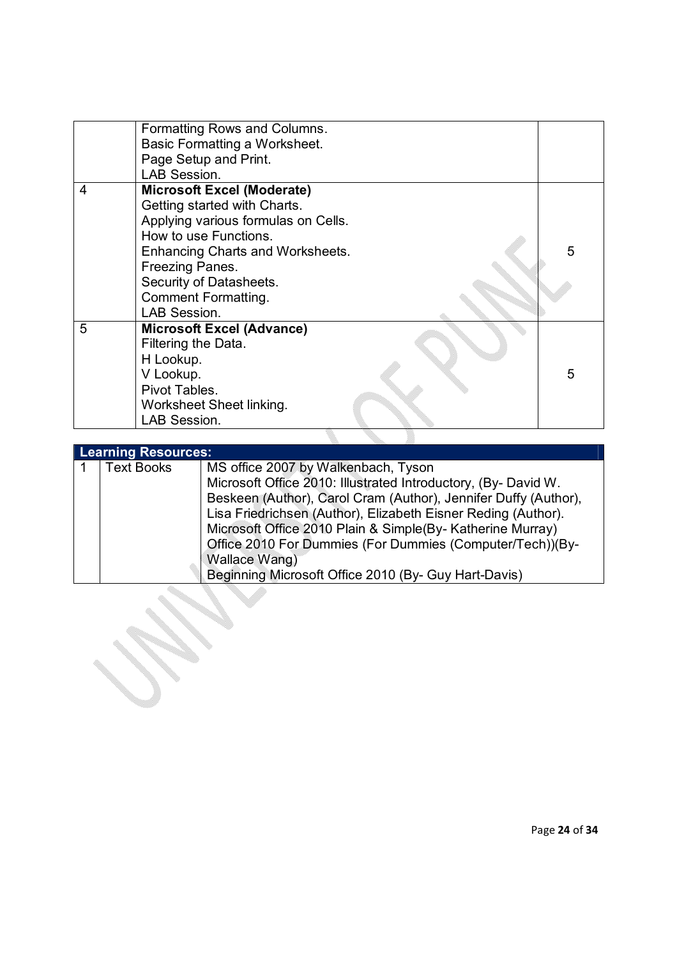|   | Formatting Rows and Columns.<br>Basic Formatting a Worksheet.<br>Page Setup and Print.<br>LAB Session.                                                                                                                                                            |   |
|---|-------------------------------------------------------------------------------------------------------------------------------------------------------------------------------------------------------------------------------------------------------------------|---|
| 4 | <b>Microsoft Excel (Moderate)</b><br>Getting started with Charts.<br>Applying various formulas on Cells.<br>How to use Functions.<br>Enhancing Charts and Worksheets.<br>Freezing Panes.<br>Security of Datasheets.<br><b>Comment Formatting.</b><br>LAB Session. | 5 |
| 5 | <b>Microsoft Excel (Advance)</b><br>Filtering the Data.<br>H Lookup.<br>V Lookup.<br>Pivot Tables.<br>Worksheet Sheet linking.<br>LAB Session.                                                                                                                    | 5 |
|   |                                                                                                                                                                                                                                                                   |   |

| <b>Learning Resources:</b> |                                                                 |  |  |  |
|----------------------------|-----------------------------------------------------------------|--|--|--|
| <b>Text Books</b>          | MS office 2007 by Walkenbach, Tyson                             |  |  |  |
|                            | Microsoft Office 2010: Illustrated Introductory, (By-David W.   |  |  |  |
|                            | Beskeen (Author), Carol Cram (Author), Jennifer Duffy (Author), |  |  |  |
|                            | Lisa Friedrichsen (Author), Elizabeth Eisner Reding (Author).   |  |  |  |
|                            | Microsoft Office 2010 Plain & Simple(By- Katherine Murray)      |  |  |  |
|                            | Office 2010 For Dummies (For Dummies (Computer/Tech))(By-       |  |  |  |
|                            | Wallace Wang)                                                   |  |  |  |
|                            | Beginning Microsoft Office 2010 (By- Guy Hart-Davis)            |  |  |  |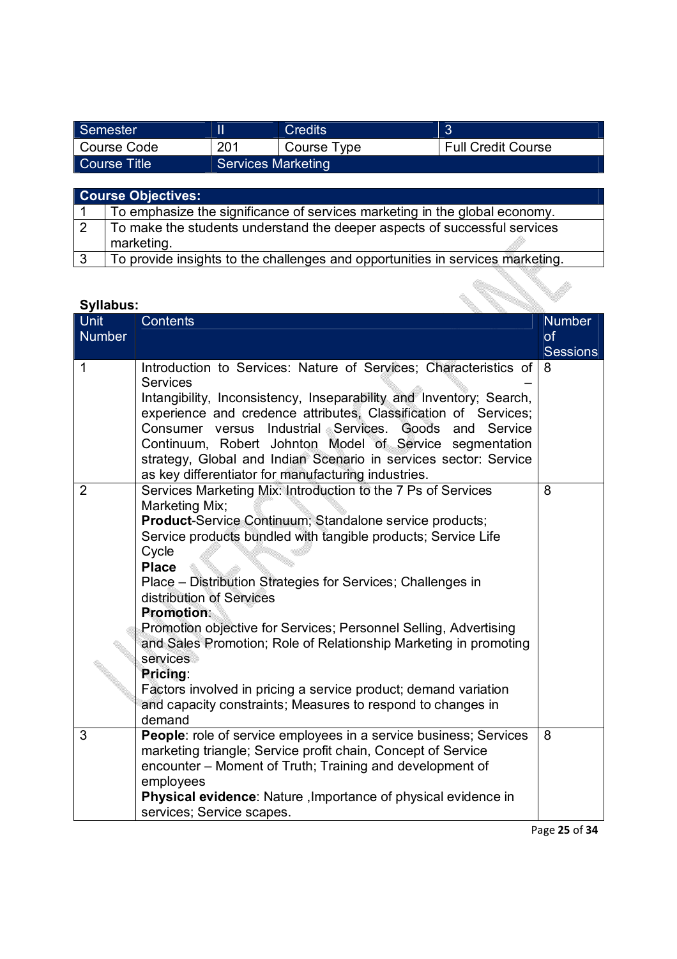| Semester      |                           | <b>Credits</b> |                           |
|---------------|---------------------------|----------------|---------------------------|
| l Course Code | 201                       | Course Type    | <b>Full Credit Course</b> |
| Course Title  | <b>Services Marketing</b> |                |                           |
|               |                           |                |                           |

|              | <b>Course Objectives:</b>                                                      |  |  |
|--------------|--------------------------------------------------------------------------------|--|--|
|              | To emphasize the significance of services marketing in the global economy.     |  |  |
| 2            | To make the students understand the deeper aspects of successful services      |  |  |
|              | marketing.                                                                     |  |  |
| $\mathbf{3}$ | To provide insights to the challenges and opportunities in services marketing. |  |  |
|              |                                                                                |  |  |

| <b>Syllabus:</b>             |                                                                                                                                                                                                                                                                                                                                                                                                                                                                                                                                                                                                                                                                        |                                        |  |  |
|------------------------------|------------------------------------------------------------------------------------------------------------------------------------------------------------------------------------------------------------------------------------------------------------------------------------------------------------------------------------------------------------------------------------------------------------------------------------------------------------------------------------------------------------------------------------------------------------------------------------------------------------------------------------------------------------------------|----------------------------------------|--|--|
| <b>Unit</b><br><b>Number</b> | <b>Contents</b>                                                                                                                                                                                                                                                                                                                                                                                                                                                                                                                                                                                                                                                        | <b>Number</b><br>of<br><b>Sessions</b> |  |  |
| $\mathbf 1$                  | Introduction to Services: Nature of Services; Characteristics of<br><b>Services</b><br>Intangibility, Inconsistency, Inseparability and Inventory; Search,<br>experience and credence attributes, Classification of Services;<br>Consumer versus Industrial Services.<br>Goods<br>Service<br>and<br>Continuum, Robert Johnton Model of Service segmentation<br>strategy, Global and Indian Scenario in services sector: Service<br>as key differentiator for manufacturing industries.                                                                                                                                                                                 | 8                                      |  |  |
| $\overline{2}$               | Services Marketing Mix: Introduction to the 7 Ps of Services<br>Marketing Mix;<br><b>Product-Service Continuum; Standalone service products;</b><br>Service products bundled with tangible products; Service Life<br>Cycle<br><b>Place</b><br>Place – Distribution Strategies for Services; Challenges in<br>distribution of Services<br><b>Promotion:</b><br>Promotion objective for Services; Personnel Selling, Advertising<br>and Sales Promotion; Role of Relationship Marketing in promoting<br>services<br>Pricing:<br>Factors involved in pricing a service product; demand variation<br>and capacity constraints; Measures to respond to changes in<br>demand | 8                                      |  |  |
| 3                            | People: role of service employees in a service business; Services<br>marketing triangle; Service profit chain, Concept of Service<br>encounter – Moment of Truth; Training and development of<br>employees<br>Physical evidence: Nature, Importance of physical evidence in<br>services; Service scapes.                                                                                                                                                                                                                                                                                                                                                               | 8                                      |  |  |

Page **25** of **34**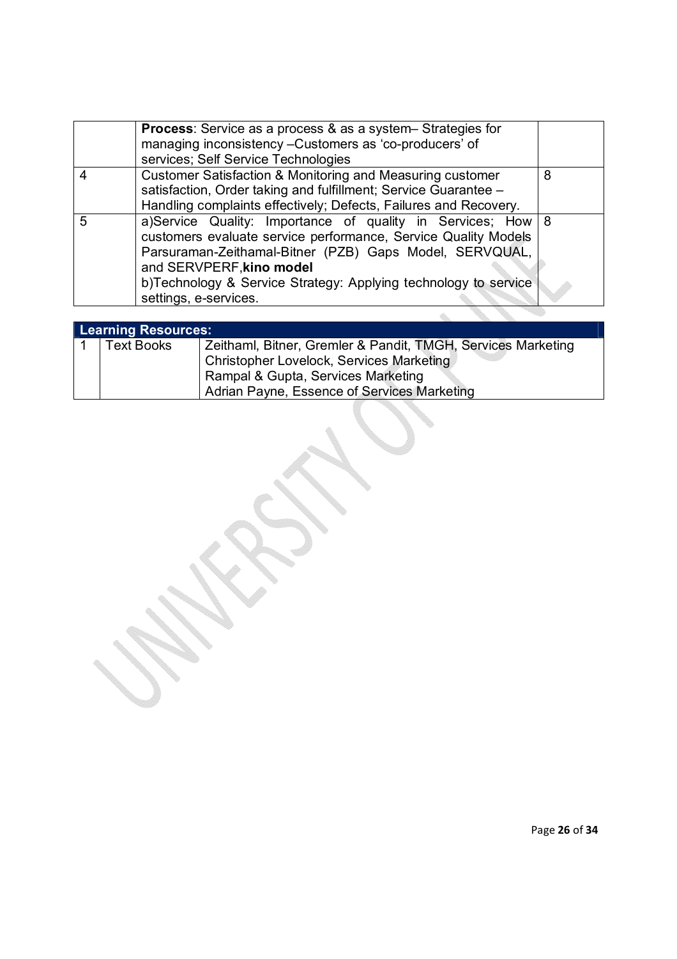|   | <b>Process:</b> Service as a process & as a system– Strategies for<br>managing inconsistency - Customers as 'co-producers' of<br>services; Self Service Technologies                                                                                                                                               |   |
|---|--------------------------------------------------------------------------------------------------------------------------------------------------------------------------------------------------------------------------------------------------------------------------------------------------------------------|---|
|   | Customer Satisfaction & Monitoring and Measuring customer<br>satisfaction, Order taking and fulfillment; Service Guarantee -<br>Handling complaints effectively; Defects, Failures and Recovery.                                                                                                                   | 8 |
| 5 | a)Service Quality: Importance of quality in Services; How   8<br>customers evaluate service performance, Service Quality Models<br>Parsuraman-Zeithamal-Bitner (PZB) Gaps Model, SERVQUAL,<br>and SERVPERF, kino model<br>b)Technology & Service Strategy: Applying technology to service<br>settings, e-services. |   |
|   |                                                                                                                                                                                                                                                                                                                    |   |

| <b>Learning Resources:</b> |                                                              |  |  |  |
|----------------------------|--------------------------------------------------------------|--|--|--|
| <b>Text Books</b>          | Zeithaml, Bitner, Gremler & Pandit, TMGH, Services Marketing |  |  |  |
|                            | <b>Christopher Lovelock, Services Marketing</b>              |  |  |  |
|                            | Rampal & Gupta, Services Marketing                           |  |  |  |
|                            | Adrian Payne, Essence of Services Marketing                  |  |  |  |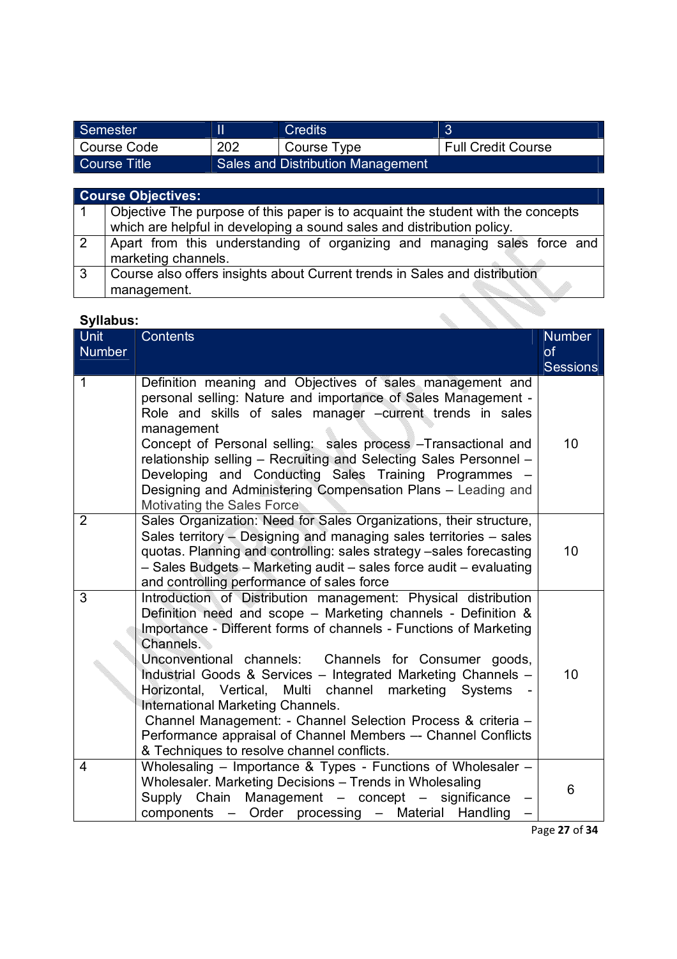| Semester     |     | <b>Credits</b>                           |                           |
|--------------|-----|------------------------------------------|---------------------------|
| Course Code  | 202 | Course Type                              | <b>Full Credit Course</b> |
| Course Title |     | <b>Sales and Distribution Management</b> |                           |

|                | <b>Course Objectives:</b>                                                        |  |  |  |  |  |
|----------------|----------------------------------------------------------------------------------|--|--|--|--|--|
| $\vert$ 1      | Objective The purpose of this paper is to acquaint the student with the concepts |  |  |  |  |  |
|                | which are helpful in developing a sound sales and distribution policy.           |  |  |  |  |  |
| $\overline{2}$ | Apart from this understanding of organizing and managing sales force and         |  |  |  |  |  |
|                | marketing channels.                                                              |  |  |  |  |  |
| l 3            | Course also offers insights about Current trends in Sales and distribution       |  |  |  |  |  |
|                | management.                                                                      |  |  |  |  |  |

| <b>Unit</b><br><b>Number</b> | <b>Contents</b>                                                                                                                                                                                                                                                                                                                                                                                                                                                                                                                                                                                                          | <b>Number</b><br>of |
|------------------------------|--------------------------------------------------------------------------------------------------------------------------------------------------------------------------------------------------------------------------------------------------------------------------------------------------------------------------------------------------------------------------------------------------------------------------------------------------------------------------------------------------------------------------------------------------------------------------------------------------------------------------|---------------------|
|                              |                                                                                                                                                                                                                                                                                                                                                                                                                                                                                                                                                                                                                          | <b>Sessions</b>     |
| 1                            | Definition meaning and Objectives of sales management and<br>personal selling: Nature and importance of Sales Management -<br>Role and skills of sales manager -current trends in sales<br>management<br>Concept of Personal selling: sales process - Transactional and<br>relationship selling - Recruiting and Selecting Sales Personnel -<br>Developing and Conducting Sales Training Programmes -<br>Designing and Administering Compensation Plans - Leading and<br>Motivating the Sales Force                                                                                                                      | 10                  |
| $\overline{2}$               | Sales Organization: Need for Sales Organizations, their structure,<br>Sales territory - Designing and managing sales territories - sales<br>quotas. Planning and controlling: sales strategy -sales forecasting<br>- Sales Budgets - Marketing audit - sales force audit - evaluating<br>and controlling performance of sales force                                                                                                                                                                                                                                                                                      | 10                  |
| 3                            | Introduction of Distribution management: Physical distribution<br>Definition need and scope - Marketing channels - Definition &<br>Importance - Different forms of channels - Functions of Marketing<br>Channels.<br>Unconventional channels: Channels for Consumer goods,<br>Industrial Goods & Services - Integrated Marketing Channels -<br>Horizontal, Vertical, Multi channel marketing Systems<br>International Marketing Channels.<br>Channel Management: - Channel Selection Process & criteria -<br>Performance appraisal of Channel Members -- Channel Conflicts<br>& Techniques to resolve channel conflicts. | 10                  |
| 4                            | Wholesaling - Importance & Types - Functions of Wholesaler -<br>Wholesaler. Marketing Decisions - Trends in Wholesaling<br>Supply Chain Management - concept - significance<br>components - Order processing - Material Handling                                                                                                                                                                                                                                                                                                                                                                                         | 6                   |

Page **27** of **34**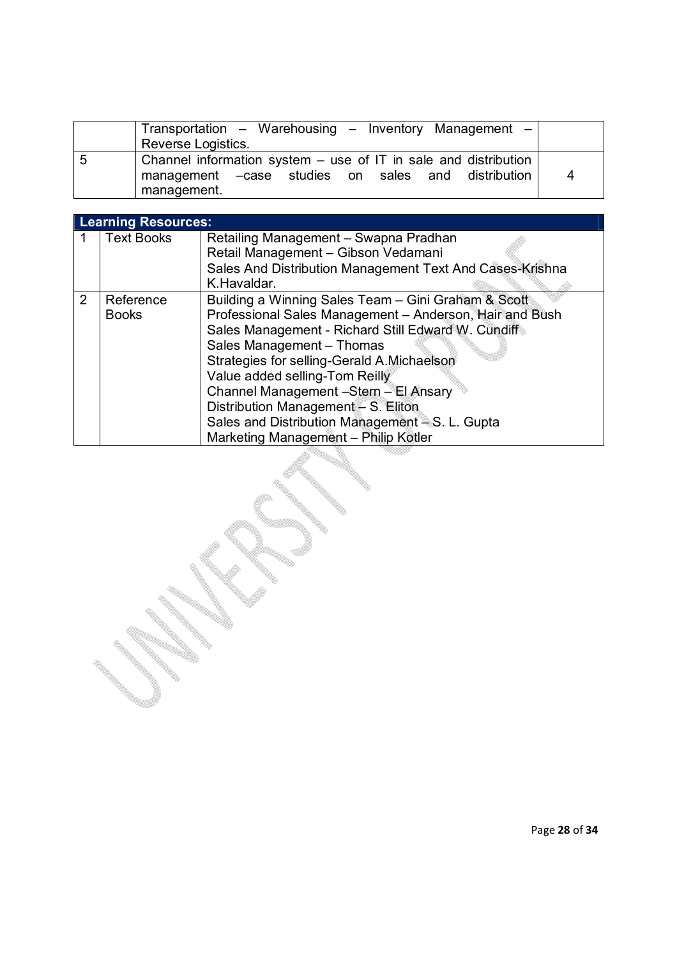|   | Transportation - Warehousing - Inventory Management -<br>Reverse Logistics. |   |
|---|-----------------------------------------------------------------------------|---|
| 5 | Channel information system $-$ use of IT in sale and distribution           |   |
|   | management - case studies on sales and distribution                         | 4 |
|   | management.                                                                 |   |

|   | <b>Learning Resources:</b> |                                                                                                                                                                                                                                                                                                                                                                                                                                                              |  |  |  |
|---|----------------------------|--------------------------------------------------------------------------------------------------------------------------------------------------------------------------------------------------------------------------------------------------------------------------------------------------------------------------------------------------------------------------------------------------------------------------------------------------------------|--|--|--|
|   | <b>Text Books</b>          | Retailing Management - Swapna Pradhan<br>Retail Management - Gibson Vedamani<br>Sales And Distribution Management Text And Cases-Krishna<br>K.Havaldar.                                                                                                                                                                                                                                                                                                      |  |  |  |
| 2 | Reference<br><b>Books</b>  | Building a Winning Sales Team – Gini Graham & Scott<br>Professional Sales Management - Anderson, Hair and Bush<br>Sales Management - Richard Still Edward W. Cundiff<br>Sales Management - Thomas<br>Strategies for selling-Gerald A.Michaelson<br>Value added selling-Tom Reilly<br>Channel Management -Stern - El Ansary<br>Distribution Management - S. Eliton<br>Sales and Distribution Management – S. L. Gupta<br>Marketing Management - Philip Kotler |  |  |  |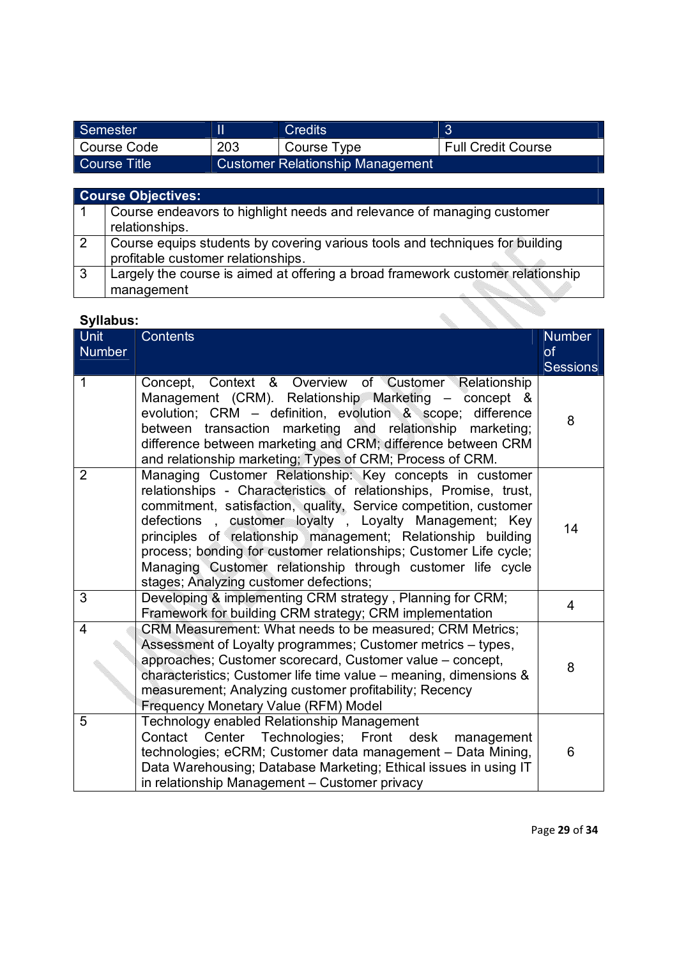| Semester     |     | <b>Credits</b>                          |                           |
|--------------|-----|-----------------------------------------|---------------------------|
| Course Code  | 203 | Course Type                             | <b>Full Credit Course</b> |
| Course Title |     | <b>Customer Relationship Management</b> |                           |

|    | <b>Course Objectives:</b>                                                                                          |
|----|--------------------------------------------------------------------------------------------------------------------|
|    | Course endeavors to highlight needs and relevance of managing customer<br>relationships.                           |
|    | Course equips students by covering various tools and techniques for building<br>profitable customer relationships. |
| -3 | Largely the course is aimed at offering a broad framework customer relationship<br>management                      |

| <b>Syllabus:</b> |                                                                                                                                                                                                                                                                                                                                                                                                                                                                                                         |                 |  |  |
|------------------|---------------------------------------------------------------------------------------------------------------------------------------------------------------------------------------------------------------------------------------------------------------------------------------------------------------------------------------------------------------------------------------------------------------------------------------------------------------------------------------------------------|-----------------|--|--|
| <b>Unit</b>      | <b>Contents</b>                                                                                                                                                                                                                                                                                                                                                                                                                                                                                         | <b>Number</b>   |  |  |
| <b>Number</b>    |                                                                                                                                                                                                                                                                                                                                                                                                                                                                                                         | <b>of</b>       |  |  |
|                  |                                                                                                                                                                                                                                                                                                                                                                                                                                                                                                         | <b>Sessions</b> |  |  |
| 1                | Context & Overview of Customer Relationship<br>Concept,<br>Management (CRM). Relationship Marketing – concept &<br>evolution; CRM – definition, evolution & scope; difference<br>marketing and relationship<br>between<br>transaction<br>marketing;<br>difference between marketing and CRM; difference between CRM<br>and relationship marketing; Types of CRM; Process of CRM.                                                                                                                        | 8               |  |  |
| $\overline{2}$   | Managing Customer Relationship: Key concepts in customer<br>relationships - Characteristics of relationships, Promise, trust,<br>commitment, satisfaction, quality, Service competition, customer<br>defections, customer loyalty, Loyalty Management; Key<br>principles of relationship management; Relationship building<br>process; bonding for customer relationships; Customer Life cycle;<br>Managing Customer relationship through customer life cycle<br>stages; Analyzing customer defections; | 14              |  |  |
| 3                | Developing & implementing CRM strategy, Planning for CRM;<br>Framework for building CRM strategy; CRM implementation                                                                                                                                                                                                                                                                                                                                                                                    | 4               |  |  |
| 4                | CRM Measurement: What needs to be measured; CRM Metrics;<br>Assessment of Loyalty programmes; Customer metrics - types,<br>approaches; Customer scorecard, Customer value - concept,<br>characteristics; Customer life time value – meaning, dimensions &<br>measurement; Analyzing customer profitability; Recency<br>Frequency Monetary Value (RFM) Model                                                                                                                                             | 8               |  |  |
| 5                | Technology enabled Relationship Management<br>Contact<br>Center Technologies; Front desk<br>management<br>technologies; eCRM; Customer data management - Data Mining,<br>Data Warehousing; Database Marketing; Ethical issues in using IT<br>in relationship Management - Customer privacy                                                                                                                                                                                                              | 6               |  |  |

Page **29** of **34**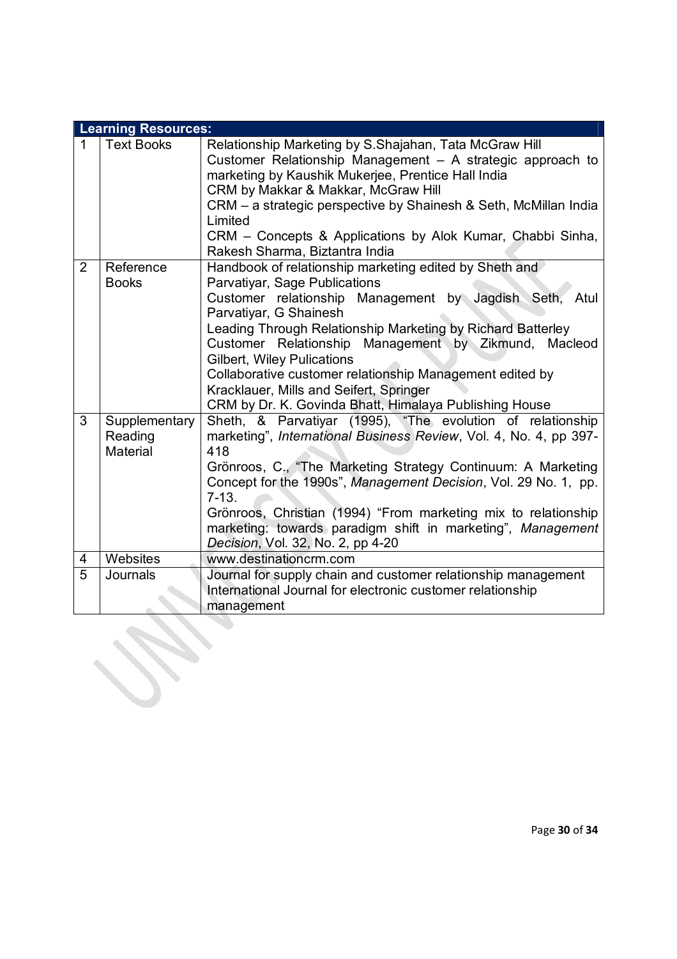|                | <b>Learning Resources:</b>                  |                                                                                                                                                                                                                                                                                                                                                                                                                                                                                                             |  |  |
|----------------|---------------------------------------------|-------------------------------------------------------------------------------------------------------------------------------------------------------------------------------------------------------------------------------------------------------------------------------------------------------------------------------------------------------------------------------------------------------------------------------------------------------------------------------------------------------------|--|--|
| $\mathbf 1$    | <b>Text Books</b>                           | Relationship Marketing by S.Shajahan, Tata McGraw Hill<br>Customer Relationship Management - A strategic approach to<br>marketing by Kaushik Mukerjee, Prentice Hall India<br>CRM by Makkar & Makkar, McGraw Hill<br>CRM – a strategic perspective by Shainesh & Seth, McMillan India<br>Limited<br>CRM - Concepts & Applications by Alok Kumar, Chabbi Sinha,<br>Rakesh Sharma, Biztantra India                                                                                                            |  |  |
| $\overline{2}$ | Reference<br><b>Books</b>                   | Handbook of relationship marketing edited by Sheth and<br>Parvatiyar, Sage Publications<br>Customer relationship Management by Jagdish Seth,<br>Atul<br>Parvatiyar, G Shainesh<br>Leading Through Relationship Marketing by Richard Batterley<br>Customer Relationship Management by Zikmund, Macleod<br><b>Gilbert, Wiley Pulications</b><br>Collaborative customer relationship Management edited by<br>Kracklauer, Mills and Seifert, Springer<br>CRM by Dr. K. Govinda Bhatt, Himalaya Publishing House |  |  |
| 3              | Supplementary<br>Reading<br><b>Material</b> | Sheth, & Parvatiyar (1995), "The evolution of relationship<br>marketing", International Business Review, Vol. 4, No. 4, pp 397-<br>418<br>Grönroos, C., "The Marketing Strategy Continuum: A Marketing<br>Concept for the 1990s", Management Decision, Vol. 29 No. 1, pp.<br>$7-13.$<br>Grönroos, Christian (1994) "From marketing mix to relationship<br>marketing: towards paradigm shift in marketing", Management<br>Decision, Vol. 32, No. 2, pp 4-20                                                  |  |  |
| 4              | Websites                                    | www.destinationcrm.com                                                                                                                                                                                                                                                                                                                                                                                                                                                                                      |  |  |
| 5              | Journals                                    | Journal for supply chain and customer relationship management<br>International Journal for electronic customer relationship<br>management                                                                                                                                                                                                                                                                                                                                                                   |  |  |
|                |                                             |                                                                                                                                                                                                                                                                                                                                                                                                                                                                                                             |  |  |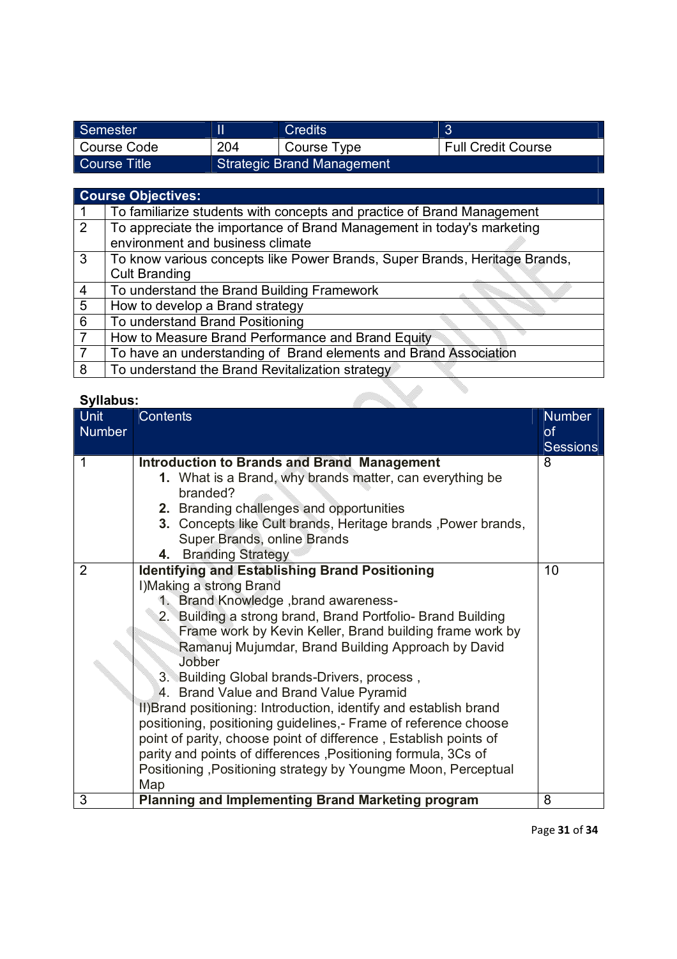| Semester     |                                   | <b>Credits</b> |                           |
|--------------|-----------------------------------|----------------|---------------------------|
| Course Code  | 204                               | Course Type    | <b>Full Credit Course</b> |
| Course Title | <b>Strategic Brand Management</b> |                |                           |

## **Course Objectives:**

|   | To familiarize students with concepts and practice of Brand Management     |  |  |
|---|----------------------------------------------------------------------------|--|--|
| 2 | To appreciate the importance of Brand Management in today's marketing      |  |  |
|   | environment and business climate                                           |  |  |
| 3 | To know various concepts like Power Brands, Super Brands, Heritage Brands, |  |  |
|   | <b>Cult Branding</b>                                                       |  |  |
| 4 | To understand the Brand Building Framework                                 |  |  |
| 5 | How to develop a Brand strategy                                            |  |  |
| 6 | To understand Brand Positioning                                            |  |  |
|   | How to Measure Brand Performance and Brand Equity                          |  |  |
|   | To have an understanding of Brand elements and Brand Association           |  |  |
| 8 | To understand the Brand Revitalization strategy                            |  |  |
|   |                                                                            |  |  |

 $\checkmark$ 

# **Syllabus:**

| Syllabus:      |                                                                   |                 |
|----------------|-------------------------------------------------------------------|-----------------|
| <b>Unit</b>    | <b>Contents</b>                                                   | <b>Number</b>   |
| Number         |                                                                   | <b>of</b>       |
|                |                                                                   | <b>Sessions</b> |
| 1              | <b>Introduction to Brands and Brand Management</b>                | 8               |
|                | 1. What is a Brand, why brands matter, can everything be          |                 |
|                | branded?                                                          |                 |
|                | 2. Branding challenges and opportunities                          |                 |
|                | 3. Concepts like Cult brands, Heritage brands, Power brands,      |                 |
|                | Super Brands, online Brands                                       |                 |
| $\overline{2}$ | 4. Branding Strategy                                              | 10              |
|                | <b>Identifying and Establishing Brand Positioning</b>             |                 |
|                | I) Making a strong Brand<br>1. Brand Knowledge, brand awareness-  |                 |
|                | 2. Building a strong brand, Brand Portfolio- Brand Building       |                 |
|                | Frame work by Kevin Keller, Brand building frame work by          |                 |
|                | Ramanuj Mujumdar, Brand Building Approach by David                |                 |
|                | Jobber                                                            |                 |
|                | 3. Building Global brands-Drivers, process,                       |                 |
|                | 4. Brand Value and Brand Value Pyramid                            |                 |
|                | II) Brand positioning: Introduction, identify and establish brand |                 |
|                | positioning, positioning guidelines,- Frame of reference choose   |                 |
|                | point of parity, choose point of difference, Establish points of  |                 |
|                | parity and points of differences, Positioning formula, 3Cs of     |                 |
|                | Positioning, Positioning strategy by Youngme Moon, Perceptual     |                 |
|                | Map                                                               |                 |
| 3              | <b>Planning and Implementing Brand Marketing program</b>          | 8               |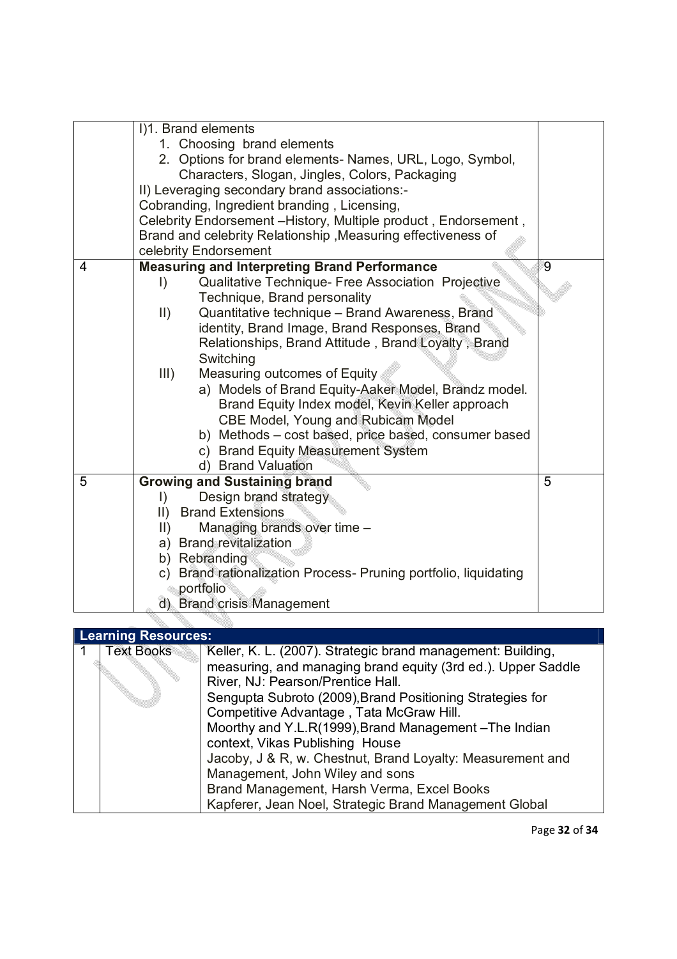|   | I)1. Brand elements                                              |   |  |  |
|---|------------------------------------------------------------------|---|--|--|
|   | 1. Choosing brand elements                                       |   |  |  |
|   | 2. Options for brand elements- Names, URL, Logo, Symbol,         |   |  |  |
|   | Characters, Slogan, Jingles, Colors, Packaging                   |   |  |  |
|   | II) Leveraging secondary brand associations:-                    |   |  |  |
|   | Cobranding, Ingredient branding, Licensing,                      |   |  |  |
|   | Celebrity Endorsement - History, Multiple product, Endorsement,  |   |  |  |
|   | Brand and celebrity Relationship, Measuring effectiveness of     |   |  |  |
|   | celebrity Endorsement                                            |   |  |  |
| 4 | <b>Measuring and Interpreting Brand Performance</b>              | 9 |  |  |
|   | Qualitative Technique- Free Association Projective<br>I)         |   |  |  |
|   | Technique, Brand personality                                     |   |  |  |
|   | Quantitative technique - Brand Awareness, Brand<br>$\parallel$ ) |   |  |  |
|   | identity, Brand Image, Brand Responses, Brand                    |   |  |  |
|   | Relationships, Brand Attitude, Brand Loyalty, Brand              |   |  |  |
|   | Switching                                                        |   |  |  |
|   | III)<br>Measuring outcomes of Equity                             |   |  |  |
|   | a) Models of Brand Equity-Aaker Model, Brandz model.             |   |  |  |
|   | Brand Equity Index model, Kevin Keller approach                  |   |  |  |
|   | CBE Model, Young and Rubicam Model                               |   |  |  |
|   | b) Methods - cost based, price based, consumer based             |   |  |  |
|   | c) Brand Equity Measurement System                               |   |  |  |
|   | d) Brand Valuation                                               |   |  |  |
| 5 | <b>Growing and Sustaining brand</b>                              | 5 |  |  |
|   | Design brand strategy<br>$\vert$ )                               |   |  |  |
|   | II) Brand Extensions                                             |   |  |  |
|   | Managing brands over time -<br>$\parallel$ )                     |   |  |  |
|   | a) Brand revitalization                                          |   |  |  |
|   | b) Rebranding                                                    |   |  |  |
|   | c) Brand rationalization Process- Pruning portfolio, liquidating |   |  |  |
|   | portfolio                                                        |   |  |  |
|   | d) Brand crisis Management                                       |   |  |  |
|   |                                                                  |   |  |  |

### **Learning Resources:**

|  | <b>Text Books</b>                                                                              | Keller, K. L. (2007). Strategic brand management: Building,  |  |  |
|--|------------------------------------------------------------------------------------------------|--------------------------------------------------------------|--|--|
|  |                                                                                                | measuring, and managing brand equity (3rd ed.). Upper Saddle |  |  |
|  | River, NJ: Pearson/Prentice Hall.<br>Sengupta Subroto (2009), Brand Positioning Strategies for |                                                              |  |  |
|  |                                                                                                |                                                              |  |  |
|  |                                                                                                | Competitive Advantage, Tata McGraw Hill.                     |  |  |
|  |                                                                                                | Moorthy and Y.L.R(1999), Brand Management-The Indian         |  |  |
|  |                                                                                                | context, Vikas Publishing House                              |  |  |
|  |                                                                                                | Jacoby, J & R, w. Chestnut, Brand Loyalty: Measurement and   |  |  |
|  |                                                                                                | Management, John Wiley and sons                              |  |  |
|  |                                                                                                | Brand Management, Harsh Verma, Excel Books                   |  |  |
|  |                                                                                                | Kapferer, Jean Noel, Strategic Brand Management Global       |  |  |
|  |                                                                                                |                                                              |  |  |

Page **32** of **34**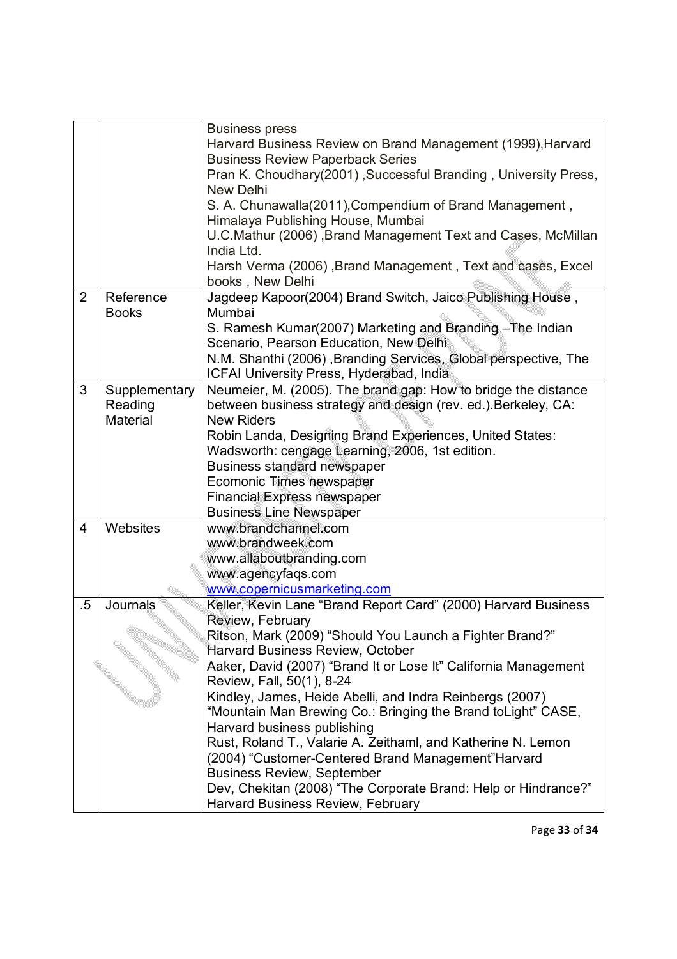|                |               | <b>Business press</b>                                                                       |  |  |
|----------------|---------------|---------------------------------------------------------------------------------------------|--|--|
|                |               | Harvard Business Review on Brand Management (1999), Harvard                                 |  |  |
|                |               | <b>Business Review Paperback Series</b>                                                     |  |  |
|                |               | Pran K. Choudhary(2001), Successful Branding, University Press,                             |  |  |
|                |               | New Delhi                                                                                   |  |  |
|                |               | S. A. Chunawalla(2011), Compendium of Brand Management,                                     |  |  |
|                |               | Himalaya Publishing House, Mumbai                                                           |  |  |
|                |               | U.C.Mathur (2006), Brand Management Text and Cases, McMillan                                |  |  |
|                |               | India Ltd.                                                                                  |  |  |
|                |               | Harsh Verma (2006), Brand Management, Text and cases, Excel                                 |  |  |
|                |               | books, New Delhi                                                                            |  |  |
| $\overline{2}$ | Reference     | Jagdeep Kapoor(2004) Brand Switch, Jaico Publishing House,                                  |  |  |
|                | <b>Books</b>  | Mumbai                                                                                      |  |  |
|                |               | S. Ramesh Kumar(2007) Marketing and Branding - The Indian                                   |  |  |
|                |               | Scenario, Pearson Education, New Delhi                                                      |  |  |
|                |               | N.M. Shanthi (2006), Branding Services, Global perspective, The                             |  |  |
|                |               | ICFAI University Press, Hyderabad, India                                                    |  |  |
| 3              | Supplementary | Neumeier, M. (2005). The brand gap: How to bridge the distance                              |  |  |
|                | Reading       | between business strategy and design (rev. ed.). Berkeley, CA:                              |  |  |
|                | Material      | <b>New Riders</b>                                                                           |  |  |
|                |               | Robin Landa, Designing Brand Experiences, United States:                                    |  |  |
|                |               | Wadsworth: cengage Learning, 2006, 1st edition.                                             |  |  |
|                |               | Business standard newspaper                                                                 |  |  |
|                |               | Ecomonic Times newspaper                                                                    |  |  |
|                |               | <b>Financial Express newspaper</b>                                                          |  |  |
|                |               | <b>Business Line Newspaper</b>                                                              |  |  |
| $\overline{4}$ | Websites      | www.brandchannel.com                                                                        |  |  |
|                |               | www.brandweek.com                                                                           |  |  |
|                |               | www.allaboutbranding.com                                                                    |  |  |
|                |               | www.agencyfaqs.com                                                                          |  |  |
|                |               | www.copernicusmarketing.com                                                                 |  |  |
| $.5\,$         | Journals      | Keller, Kevin Lane "Brand Report Card" (2000) Harvard Business                              |  |  |
|                |               | Review, February                                                                            |  |  |
|                |               | Ritson, Mark (2009) "Should You Launch a Fighter Brand?"                                    |  |  |
|                |               | <b>Harvard Business Review, October</b>                                                     |  |  |
|                |               | Aaker, David (2007) "Brand It or Lose It" California Management                             |  |  |
|                |               | Review, Fall, 50(1), 8-24                                                                   |  |  |
|                |               | Kindley, James, Heide Abelli, and Indra Reinbergs (2007)                                    |  |  |
|                |               | "Mountain Man Brewing Co.: Bringing the Brand toLight" CASE,<br>Harvard business publishing |  |  |
|                |               | Rust, Roland T., Valarie A. Zeithaml, and Katherine N. Lemon                                |  |  |
|                |               | (2004) "Customer-Centered Brand Management"Harvard                                          |  |  |
|                |               | <b>Business Review, September</b>                                                           |  |  |
|                |               | Dev, Chekitan (2008) "The Corporate Brand: Help or Hindrance?"                              |  |  |
|                |               |                                                                                             |  |  |
|                |               | Harvard Business Review, February                                                           |  |  |